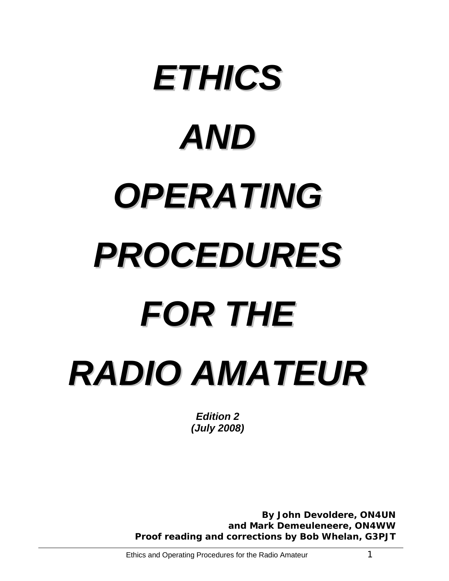# *ETHICS AND OPERATING PROCEDURES FOR THE RADIO AMATEUR*

*Edition 2 (July 2008)* 

 *By John Devoldere, ON4UN and Mark Demeuleneere, ON4WW Proof reading and corrections by Bob Whelan, G3PJT*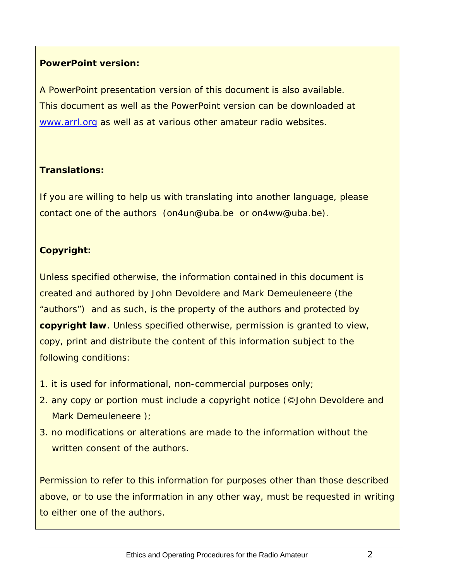# **PowerPoint version:**

A PowerPoint presentation version of this document is also available. This document as well as the PowerPoint version can be downloaded at [www.arrl.org](http://www.arrl.org/) as well as at various other amateur radio websites.

# **Translations:**

If you are willing to help us with translating into another language, please contact one of the authors ([on4un@uba.be](mailto:on4un@uba.be) or [on4ww@uba.be](mailto:on4ww@uba.be)).

# **Copyright:**

Unless specified otherwise, the information contained in this document is created and authored by John Devoldere and Mark Demeuleneere (the "authors") and as such, is the property of the authors and protected by **copyright law**. Unless specified otherwise, permission is granted to view, copy, print and distribute the content of this information subject to the following conditions:

- 1. it is used for informational, non-commercial purposes only;
- 2. any copy or portion must include a copyright notice (©John Devoldere and Mark Demeuleneere );
- 3. no modifications or alterations are made to the information without the written consent of the authors.

Permission to refer to this information for purposes other than those described above, or to use the information in any other way, must be requested in writing to either one of the authors.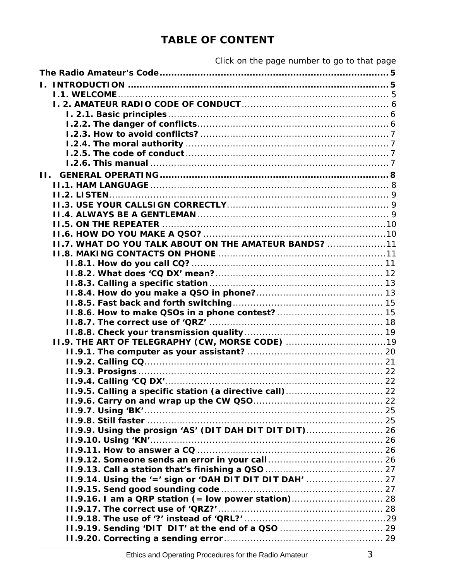| II.                                                          |  |
|--------------------------------------------------------------|--|
|                                                              |  |
|                                                              |  |
|                                                              |  |
|                                                              |  |
|                                                              |  |
|                                                              |  |
| <b>II.7. WHAT DO YOU TALK ABOUT ON THE AMATEUR BANDS?</b> 11 |  |
|                                                              |  |
|                                                              |  |
|                                                              |  |
|                                                              |  |
|                                                              |  |
|                                                              |  |
|                                                              |  |
|                                                              |  |
|                                                              |  |
|                                                              |  |
|                                                              |  |
|                                                              |  |
|                                                              |  |
|                                                              |  |
|                                                              |  |
|                                                              |  |
|                                                              |  |
|                                                              |  |
| II.9.9. Using the prosign 'AS' (DIT DAH DIT DIT DIT) 26      |  |
|                                                              |  |
|                                                              |  |
|                                                              |  |
| II.9.14. Using the '=' sign or 'DAH DIT DIT DIT DAH'  27     |  |
|                                                              |  |
|                                                              |  |
|                                                              |  |
|                                                              |  |
| II.9.19. Sending 'DIT DIT' at the end of a QSO  29           |  |
|                                                              |  |
|                                                              |  |

# **TABLE OF CONTENT**

Click on the page number to go to that page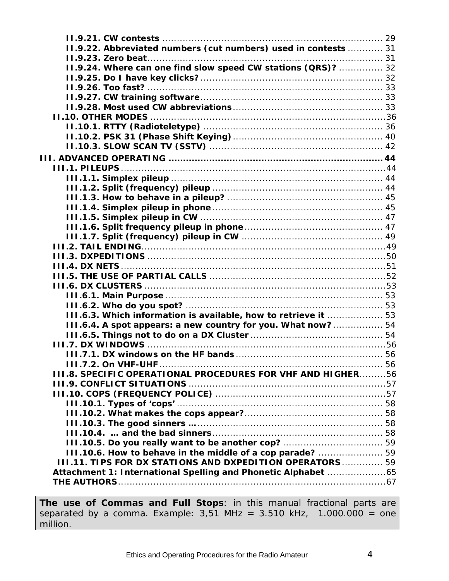| 11.9.22. Abbreviated numbers (cut numbers) used in contests  31    |  |
|--------------------------------------------------------------------|--|
|                                                                    |  |
| II.9.24. Where can one find slow speed CW stations (QRS)?  32      |  |
|                                                                    |  |
|                                                                    |  |
|                                                                    |  |
|                                                                    |  |
|                                                                    |  |
|                                                                    |  |
|                                                                    |  |
|                                                                    |  |
|                                                                    |  |
|                                                                    |  |
|                                                                    |  |
|                                                                    |  |
|                                                                    |  |
|                                                                    |  |
|                                                                    |  |
|                                                                    |  |
|                                                                    |  |
|                                                                    |  |
|                                                                    |  |
|                                                                    |  |
|                                                                    |  |
|                                                                    |  |
|                                                                    |  |
|                                                                    |  |
| III.6.3. Which information is available, how to retrieve it  53    |  |
| III.6.4. A spot appears: a new country for you. What now? 54       |  |
|                                                                    |  |
|                                                                    |  |
|                                                                    |  |
|                                                                    |  |
| <b>III.8. SPECIFIC OPERATIONAL PROCEDURES FOR VHF AND HIGHER56</b> |  |
|                                                                    |  |
|                                                                    |  |
|                                                                    |  |
|                                                                    |  |
|                                                                    |  |
|                                                                    |  |
|                                                                    |  |
| III.10.6. How to behave in the middle of a cop parade?  59         |  |
| 111.11. TIPS FOR DX STATIONS AND DXPEDITION OPERATORS  59          |  |
| Attachment 1: International Spelling and Phonetic Alphabet 65      |  |
|                                                                    |  |
|                                                                    |  |

**The use of Commas and Full Stops**: in this manual fractional parts are separated by a comma. Example:  $3,51$  MHz =  $3.510$  kHz,  $1.000.000 =$  one million.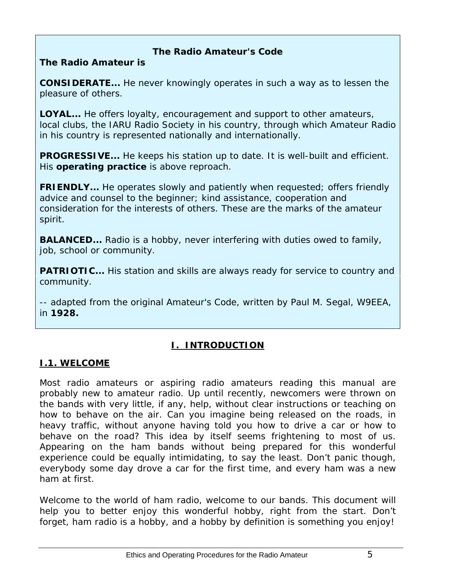### **The Radio Amateur's Code**

# <span id="page-4-1"></span><span id="page-4-0"></span>**The Radio Amateur is**

**CONSIDERATE...** He never knowingly operates in such a way as to lessen the pleasure of others.

**LOYAL...** He offers loyalty, encouragement and support to other amateurs, local clubs, the IARU Radio Society in his country, through which Amateur Radio in his country is represented nationally and internationally.

**PROGRESSIVE...** He keeps his station up to date. It is well-built and efficient. His *operating practice* is above reproach.

**FRIENDLY...** He operates slowly and patiently when requested; offers friendly advice and counsel to the beginner; kind assistance, cooperation and consideration for the interests of others. These are the marks of the amateur spirit.

**BALANCED...** Radio is a hobby, never interfering with duties owed to family, job, school or community.

**PATRIOTIC...** His station and skills are always ready for service to country and community.

*-- adapted from the original Amateur's Code, written by Paul M. Segal, W9EEA, in 1928.* 

# *I. INTRODUCTION*

#### <span id="page-4-3"></span><span id="page-4-2"></span>**I.1. WELCOME**

Most radio amateurs or aspiring radio amateurs reading this manual are probably new to amateur radio. Up until recently, newcomers were thrown on the bands with very little, if any, help, without clear instructions or teaching on *how* to behave on the air. Can you imagine being released on the roads, in heavy traffic, without anyone having told you how to drive a car or how to behave on the road? This idea by itself seems frightening to most of us. Appearing on the ham bands without being prepared for this wonderful experience could be equally intimidating, to say the least. Don't panic though, everybody some day drove a car for the first time, and every ham was a new ham at first.

Welcome to the world of ham radio, welcome to our bands. This document will help you to better enjoy this wonderful hobby, right from the start. Don't forget, ham radio is a hobby, and a hobby by definition is something you enjoy!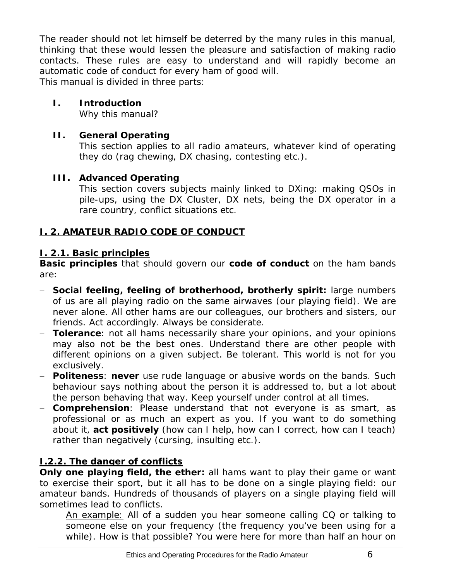<span id="page-5-0"></span>The reader should not let himself be deterred by the many *rules* in this manual, thinking that these would lessen the pleasure and satisfaction of making radio contacts. These rules are easy to understand and will rapidly become an automatic code of conduct for every ham *of good will*. This manual is divided in three parts:

#### **I. Introduction**

Why this manual?

# **II. General Operating**

This section applies to all radio amateurs, whatever kind of operating they do (rag chewing, DX chasing, contesting etc.).

# **III. Advanced Operating**

This section covers subjects mainly linked to DXing: making QSOs in pile-ups, using the DX Cluster, DX nets, being the DX operator in a *rare* country, conflict situations etc.

# <span id="page-5-1"></span>**I. 2. AMATEUR RADIO CODE OF CONDUCT**

#### <span id="page-5-2"></span>**I. 2.1. Basic principles**

**Basic principles** that should govern our **code of conduct** on the ham bands are:

- − **Social feeling, feeling of brotherhood, brotherly spirit:** large numbers of us are all playing radio on the same airwaves (our playing field). We are never alone. All other hams are our colleagues, our brothers and sisters, our friends. Act accordingly. Always be considerate.
- − **Tolerance**: not all hams necessarily share your opinions, and your opinions may also not be the *best* ones. Understand there are other people with different opinions on a given subject. Be tolerant. This world is not for you exclusively.
- − **Politeness**: **never** use rude language or abusive words on the bands. Such behaviour says nothing about the person it is addressed to, but a lot about the person behaving that way. Keep yourself under control at all times.
- − **Comprehension**: Please understand that not everyone is as smart, as professional or as much an expert as you. If you want to do something about it, **act positively** (how can I help, how can I correct, how can I teach) rather than negatively (cursing, insulting etc.).

# <span id="page-5-3"></span>**I.2.2. The danger of conflicts**

**Only one playing field, the ether:** all hams want to play their game or want to exercise their sport, but it all has to be done on a single playing field: our amateur bands. Hundreds of thousands of players on a single playing field will sometimes lead to conflicts.

An example: All of a sudden you hear someone calling CQ or talking to someone else on *your* frequency (the frequency you've been using for a while). How is that possible? You were here for more than half an hour on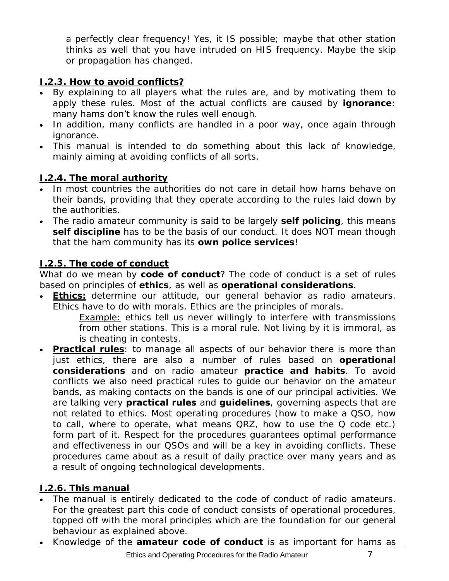<span id="page-6-0"></span>a perfectly clear frequency! Yes, it IS possible; maybe that other station thinks as well that you have intruded on HIS frequency. Maybe the *skip* or propagation has changed.

# <span id="page-6-1"></span>**I.2.3. How to avoid conflicts?**

- By explaining to all players what the rules are, and by motivating them to apply these rules. Most of the actual conflicts are caused by **ignorance**: many hams don't know the rules well enough.
- In addition, many conflicts are handled in a poor way, once again through ignorance.
- This manual is intended to do something about this lack of knowledge, mainly aiming at avoiding conflicts of all sorts.

# <span id="page-6-2"></span>**I.2.4. The moral authority**

- In most countries the authorities do not care in detail how hams behave on their bands, providing that they operate according to the rules laid down by the authorities.
- The radio amateur community is said to be largely **self policing**, this means **self discipline** has to be the basis of our conduct. It does NOT mean though that the ham community has its **own police services**!

# <span id="page-6-3"></span>**I.2.5. The code of conduct**

What do we mean by *code of conduct*? The code of conduct is a set of rules based on principles of **ethics**, as well as **operational considerations**.

• **Ethics:** determine our attitude, our general behavior as radio amateurs. Ethics have to do with morals. Ethics are the principles of morals.

**Example:** ethics tell us never willingly to interfere with transmissions from other stations. This is a moral rule. Not living by it is immoral, as is cheating in contests.

**Practical rules**: to manage all aspects of our behavior there is more than just ethics, there are also a number of rules based on **operational considerations** and on radio amateur **practice and habits**. To avoid conflicts we also need practical rules to guide our behavior on the amateur bands, as making contacts on the bands is one of our principal activities. We are talking very **practical rules** and **guidelines**, governing aspects that are not related to ethics. Most operating procedures (how to make a QSO, how to call, where to operate, what means *QRZ*, how to use the Q code etc.) form part of it. Respect for the procedures guarantees optimal performance and effectiveness in our QSOs and will be a key in avoiding conflicts. These procedures came about as a result of daily practice over many years and as a result of ongoing technological developments.

# <span id="page-6-4"></span>**I.2.6. This manual**

- The manual is entirely dedicated to the code of conduct of radio amateurs. For the greatest part this code of conduct consists of operational procedures, topped off with the moral principles which are the foundation for our general behaviour as explained above.
- Knowledge of the **amateur code of conduct** is as important for hams as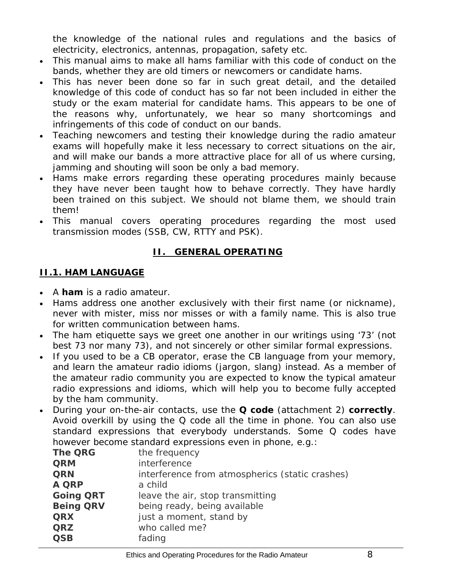<span id="page-7-0"></span>the knowledge of the national rules and regulations and the basics of electricity, electronics, antennas, propagation, safety etc.

- This manual aims to make all hams familiar with this code of conduct on the bands, whether they are old timers or newcomers or candidate hams.
- This has never been done so far in such great detail, and the detailed knowledge of this code of conduct has so far not been included in either the study or the exam material for candidate hams. This appears to be one of the reasons why, unfortunately, we hear so many shortcomings and infringements of this code of conduct on our bands.
- Teaching newcomers and testing their knowledge during the radio amateur exams will hopefully make it less necessary to correct situations on the air, and will make our bands a more attractive place for all of us where cursing, jamming and shouting will soon be only a bad memory.
- Hams make errors regarding these operating procedures mainly because they have never been taught how to behave correctly. They have hardly been trained on this subject. We should not blame them, we should train them!
- This manual covers operating procedures regarding the most used transmission modes (SSB, CW, RTTY and PSK).

# *II. GENERAL OPERATING*

# <span id="page-7-2"></span><span id="page-7-1"></span>**II.1. HAM LANGUAGE**

- A *ham* is a radio amateur.
- Hams address one another exclusively with their first name (or nickname), never with *mister*, *miss* nor *misses* or with a family name. This is also true for written communication between hams.
- The ham etiquette says we greet one another in our writings using '*73'* (not *best 73* nor *many 73*), and not *sincerely* or other similar formal expressions.
- If you used to be a CB operator, erase the CB language from your memory, and learn the amateur radio idioms (jargon, slang) instead. As a member of the amateur radio community you are expected to know the typical amateur radio expressions and idioms, which will help you to become fully accepted by the ham community.
- During your on-the-air contacts, use the **Q code** (attachment 2) **correctly**. Avoid overkill by using the Q code all the time in phone. You can also use standard expressions that everybody understands. Some Q codes have however become standard expressions even in phone, e.g.:

| <b>The QRG</b>   | the frequency                                   |
|------------------|-------------------------------------------------|
| <b>QRM</b>       | interference                                    |
| <b>QRN</b>       | interference from atmospherics (static crashes) |
| <b>A QRP</b>     | a child                                         |
| <b>Going QRT</b> | leave the air, stop transmitting                |
| <b>Being QRV</b> | being ready, being available                    |
| <b>QRX</b>       | just a moment, stand by                         |
| <b>QRZ</b>       | who called me?                                  |
| <b>QSB</b>       | fading                                          |
|                  |                                                 |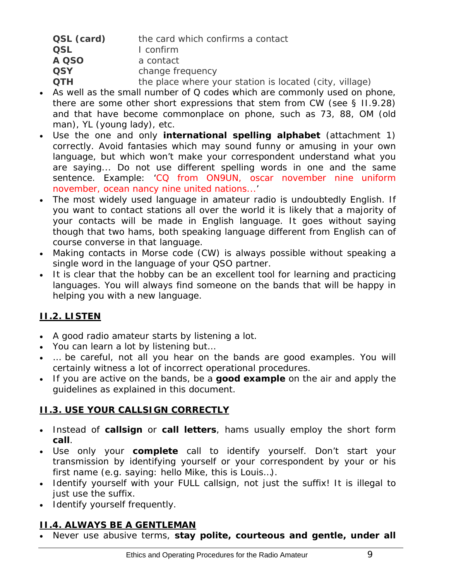<span id="page-8-0"></span>

| QSL (card) | the card which confirms a contact                       |
|------------|---------------------------------------------------------|
| <b>QSL</b> | I confirm                                               |
| A QSO      | a contact                                               |
| <b>QSY</b> | change frequency                                        |
| <b>OTH</b> | the place where your station is located (city, village) |

- As well as the small number of Q codes which are commonly used on phone, there are some other *short* expressions that stem from CW (see § II.9.28) and that have become commonplace on phone, such as 73, 88, OM (*old man*), YL (*young lady*), etc.
- Use the one and only **international spelling alphabet** (attachment 1) correctly. Avoid *fantasies* which may sound funny or amusing in your own language, but which won't make your correspondent understand what you are saying... Do not use different spelling words in one and the same sentence. Example: '*CQ from ON9UN, oscar november nine uniform november, ocean nancy nine united nations...'*
- The most widely used language in amateur radio is undoubtedly English. If you want to contact stations all over the world it is likely that a majority of your contacts will be made in English language. It goes without saying though that two hams, both speaking language different from English can of course converse in that language.
- Making contacts in Morse code (CW) is always possible without speaking a single word in the language of your QSO partner.
- It is clear that the hobby can be an excellent tool for learning and practicing languages. You will always find someone on the bands that will be happy in helping you with a new language.

# <span id="page-8-1"></span>**II.2. LISTEN**

- A good radio amateur starts by listening a lot.
- You can learn a lot by listening but…
- … be careful, not all you hear on the bands are *good examples*. You will certainly witness a lot of incorrect operational procedures.
- If you are active on the bands, be a **good example** on the air and apply the guidelines as explained in this document.

# <span id="page-8-2"></span>**II.3. USE YOUR CALLSIGN CORRECTLY**

- Instead of *callsign* or *call letters*, hams usually employ the short form *call*.
- Use only your **complete** call to identify yourself. Don't start your transmission by identifying yourself or your correspondent by your or his first name (e.g. saying: *hello Mike, this is Louis…*).
- Identify yourself with your FULL callsign, not just the suffix! It is illegal to just use the suffix.
- Identify yourself *frequently.*

# <span id="page-8-3"></span>**II.4. ALWAYS BE A GENTLEMAN**

• Never use abusive terms, **stay polite, courteous and gentle, under all**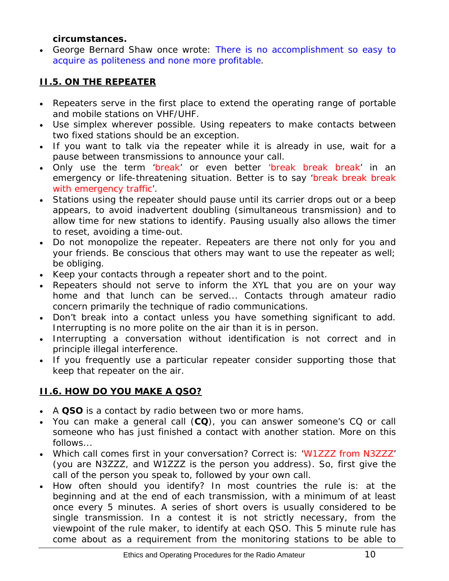#### **circumstances.**

<span id="page-9-0"></span>• George Bernard Shaw once wrote: *There is no accomplishment so easy to acquire as politeness and none more profitable*.

# <span id="page-9-1"></span>**II.5. ON THE REPEATER**

- Repeaters serve in the first place to extend the operating range of portable and mobile stations on VHF/UHF.
- Use simplex wherever possible. Using repeaters to make contacts between two fixed stations should be an exception.
- If you want to talk via the repeater while it is already in use, wait for a pause between transmissions to announce your call.
- Only use the term 'break' or even better 'break break break' in an emergency or life-threatening situation. Better is to say 'break break break with emergency traffic'.
- Stations using the repeater should pause until its carrier drops out or a beep appears, to avoid inadvertent *doubling* (simultaneous transmission) and to allow time for new stations to identify. Pausing usually also allows the timer to reset, avoiding a *time-out.*
- Do not monopolize the repeater. Repeaters are there not only for you and your friends. Be conscious that others may want to use the repeater as well; be obliging.
- Keep your contacts through a repeater short and *to the point*.
- Repeaters should not serve to inform the XYL that you are on your way home and that lunch can be served... Contacts through amateur radio concern primarily the technique of radio communications.
- Don't break into a contact unless you have something significant to add. Interrupting is no more polite on the air than it is in person.
- Interrupting a conversation without identification is not correct and in principle illegal interference.
- If you frequently use a particular repeater consider supporting those that keep that repeater on the air.

# <span id="page-9-2"></span>**II.6. HOW DO YOU MAKE A QSO?**

- A **QSO** is a contact by radio between two or more hams.
- You can make a general call (**CQ**), you can answer someone's CQ or call someone who has just finished a contact with another station. More on this follows...
- Which call comes first in your conversation? Correct is: 'W1ZZZ from N3ZZZ' (you are N3ZZZ, and W1ZZZ is the person you address). So, first give the call of the person you speak to, followed by your own call.
- How often should you identify? In most countries the rule is: *at the beginning and at the end of each transmission, with a minimum of at least once every 5 minutes*. A series of short *overs* is usually considered to be single transmission. In a contest it is not strictly necessary, from the viewpoint of the rule maker, to identify at each QSO. This 5 minute rule has come about as a requirement from the monitoring stations to be able to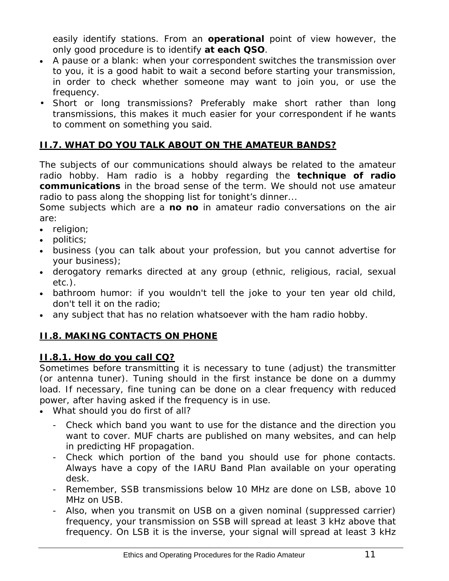<span id="page-10-0"></span>easily identify stations. From an **operational** point of view however, the only good procedure is to identify **at each QSO**.

- A *pause* or a *blank*: when your correspondent switches the transmission over to you, it is a good habit to wait a second before starting your transmission, in order to check whether someone may want to join you, or use the frequency.
- Short or long transmissions? Preferably make short rather than long transmissions, this makes it much easier for your correspondent if he wants to comment on something you said.

# <span id="page-10-1"></span>**II.7. WHAT DO YOU TALK ABOUT ON THE AMATEUR BANDS?**

The subjects of our communications should always be related to the amateur radio hobby. Ham radio is a hobby regarding the **technique of radio communications** *in the broad sense of the term*. We should not use amateur radio to pass along the shopping list for tonight's dinner...

Some subjects which are a **no no** in amateur radio conversations on the air are:

- religion;
- politics;
- business (you can talk about your profession, but you cannot advertise for your business);
- derogatory remarks directed at any group (ethnic, religious, racial, sexual etc.).
- bathroom humor: if you wouldn't tell the joke to your ten year old child, don't tell it on the radio;
- any subject that has no relation whatsoever with the ham radio hobby.

# <span id="page-10-2"></span>**II.8. MAKING CONTACTS ON PHONE**

#### <span id="page-10-3"></span>**II.8.1. How do you call CQ?**

Sometimes before transmitting it is necessary to tune (adjust) the transmitter (or antenna tuner). Tuning should in the first instance be done on a dummy load. If necessary, fine tuning can be done on a clear frequency with reduced power, after having asked if the frequency is in use.

- What should you do first of all?
	- Check which band you want to use for the distance and the direction you want to cover. MUF charts are published on many websites, and can help in predicting HF propagation.
	- Check which portion of the band you should use for phone contacts. Always have a copy of the IARU Band Plan available on your operating desk.
	- Remember, SSB transmissions below 10 MHz are done on LSB, above 10 MHz on USB.
	- Also, when you transmit on USB on a given nominal (suppressed carrier) frequency, your transmission on SSB will spread at least 3 kHz above that frequency. On LSB it is the inverse, your signal will spread at least 3 kHz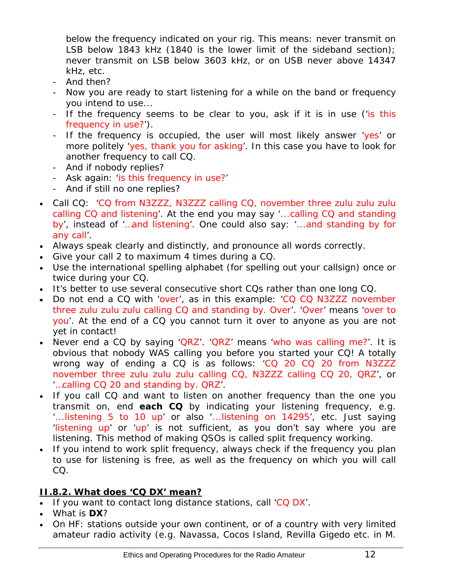<span id="page-11-0"></span>below the frequency indicated on your rig. This means: never transmit on LSB below 1843 kHz (1840 is the lower limit of the sideband section); never transmit on LSB below 3603 kHz, or on USB never above 14347 kHz, etc.

- And then?
- Now you are ready to start listening for a while on the band or frequency you intend to use...
- If the frequency seems to be clear to you, ask if it is in use ('is this frequency in use?').
- If the frequency is occupied, the user will most likely answer 'yes' or more politely 'yes, thank you for asking'. In this case you have to look for another frequency to call CQ.
- And if nobody replies?
- Ask again: 'is this frequency in use?'
- And if still no one replies?
- Call CQ: 'CQ from N3ZZZ, N3ZZZ calling CQ, november three zulu zulu zulu calling CQ and listening'. At the end you may say '...calling CQ and standing by', instead of '…and listening'. One could also say: '...and standing by for any call'.
- Always speak clearly and distinctly, and pronounce all words correctly.
- Give your call 2 to maximum 4 times during a CQ.
- Use the international spelling alphabet (for spelling out your callsign) once or twice during your CQ.
- It's better to use several consecutive short CQs rather than one long CQ.
- Do not end a CQ with 'over', as in this example: 'CQ CQ N3ZZZ november three zulu zulu zulu calling CQ and standing by. Over'. 'Over' means 'over to you'. At the end of a CQ you cannot turn it over to anyone as you are not yet in contact!
- Never end a CQ by saying ' $QRZ'$ . ' $QRZ'$  means 'who was calling me?'. It is obvious that nobody WAS calling you before you started your CQ! A totally wrong way of ending a CQ is as follows: 'CQ 20 CQ 20 from N3ZZZ november three zulu zulu zulu calling CQ, N3ZZZ calling CQ 20, QRZ', or '…calling CQ 20 and standing by. QRZ'.
- If you call CQ and want to listen on another frequency than the one you transmit on, end **each CQ** by indicating your listening frequency, e.g. '...listening 5 to 10 up' or also '...listening on 14295', etc. Just saying 'listening up' or 'up' is not sufficient, as you don't say where you are listening. This method of making QSOs is called *split frequency* working.
- If you intend to work *split frequency*, always check if the frequency you plan to use for listening is free, as well as the frequency on which you will call CQ.

#### <span id="page-11-1"></span>**II.8.2. What does 'CQ DX***'* **mean?**

- If you want to contact *long distance* stations, call 'CQ DX'.
- What is **DX**?
- On HF: stations outside your own continent, or of a country with very limited amateur radio activity (e.g. Navassa, Cocos Island, Revilla Gigedo etc. in M.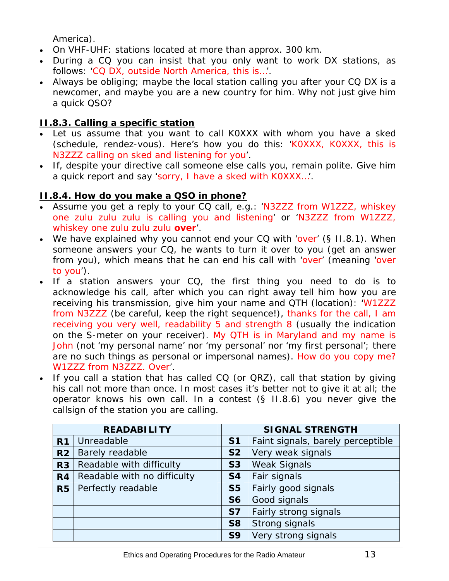America).

- <span id="page-12-0"></span>• On VHF-UHF: stations located at more than approx. 300 km.
- During a CQ you can insist that you only want to work DX stations, as follows: 'CQ DX, outside North America, this is…'.
- Always be obliging; maybe the local station calling you after your CQ DX is a newcomer, and maybe you are a *new country* for him. Why not just give him a quick QSO?

# <span id="page-12-1"></span>**II.8.3. Calling a specific station**

- Let us assume that you want to call K0XXX with whom you have a *sked*  (*schedule, rendez-vous*). Here's how you do this: 'K0XXX, K0XXX, this is N3ZZZ calling on sked and listening for you*'.*
- If, despite your directive call someone else calls you, remain polite. Give him a quick report and say 'sorry, I have a sked with K0XXX…'.

# <span id="page-12-2"></span>**II.8.4. How do you make a QSO in phone?**

- Assume you get a reply to your CQ call, e.g.: 'N3ZZZ from W1ZZZ, whiskey one zulu zulu zulu is calling you and listening' or 'N3ZZZ from W1ZZZ, whiskey one zulu zulu zulu **over**'.
- We have explained why you cannot end your CQ with 'over' (§ II.8.1). When someone answers your CQ, he wants to turn it over to you (get an answer from you), which means that he can end his call with 'over' (meaning 'over to you').
- If a station answers your CQ, the first thing you need to do is to acknowledge his call, after which you can right away tell him how you are receiving his transmission, give him your name and *QTH* (location): 'W1ZZZ from N3ZZZ (be careful, keep the right sequence!), thanks for the call, I am receiving you very well, readability 5 and strength 8 (usually the indication on the S-meter on your receiver). My QTH is in Maryland and my name is John (not '*my personal name'* nor *'my personal'* nor *'my first personal'*; there are no such things as *personal* or *impersonal* names). How do you copy me? W1ZZZ from N3ZZZ. Over'.
- If you call a station that has called CQ (or QRZ), call that station by giving his call not more than once. In most cases it's better not to give it at all; the operator knows his own call. In a contest (§ II.8.6) you never give the callsign of the station you are calling.

| <b>READABILITY</b> |                             | <b>SIGNAL STRENGTH</b> |                                   |
|--------------------|-----------------------------|------------------------|-----------------------------------|
| R <sub>1</sub>     | Unreadable                  | S <sub>1</sub>         | Faint signals, barely perceptible |
| R <sub>2</sub>     | Barely readable             | <b>S2</b>              | Very weak signals                 |
| R <sub>3</sub>     | Readable with difficulty    | S <sub>3</sub>         | <b>Weak Signals</b>               |
| R <sub>4</sub>     | Readable with no difficulty | <b>S4</b>              | Fair signals                      |
| R <sub>5</sub>     | Perfectly readable          | S <sub>5</sub>         | Fairly good signals               |
|                    |                             | S <sub>6</sub>         | Good signals                      |
|                    |                             | <b>S7</b>              | Fairly strong signals             |
|                    |                             | <b>S8</b>              | Strong signals                    |
|                    |                             | S <sub>9</sub>         | Very strong signals               |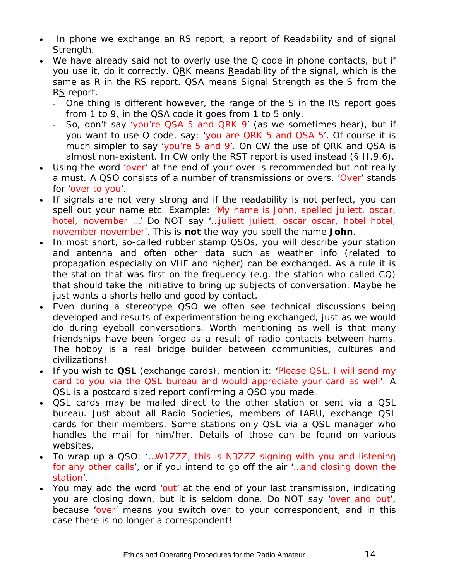- In phone we exchange an RS report, a report of Readability and of signal Strength.
- We have already said not to overly use the Q code in phone contacts, but if you use it, do it correctly. *QRK* means *Readability of the signal*, which is the same as R in the RS report. QSA means *Signal Strength* as the S from the RS report.
	- One thing is different however, the range of the S in the RS report goes from 1 to 9, in the QSA code it goes from 1 to 5 only.
	- So, don't say 'you're QSA 5 and QRK 9' (as we sometimes hear), but if you want to use Q code, say: 'you are QRK 5 and QSA 5'. Of course it is much simpler to say 'you're 5 and 9'. On CW the use of QRK and QSA is almost non-existent. In CW only the RST report is used instead (§ II.9.6).
- Using the word 'over' at the end of your *over* is recommended but not really a must. A QSO consists of a number of transmissions or *overs*. 'Over' stands for 'over to you'.
- If signals are not very strong and if the readability is not perfect, you can spell out your name etc. Example: 'My name is John, spelled juliett, oscar, hotel, november ...' Do NOT say '...juliett juliett, oscar oscar, hotel hotel, november november'. This is **not** the way you spell the name **John**.
- In most short, so-called rubber stamp QSOs, you will describe your station and antenna and often other data such as weather info (related to propagation especially on VHF and higher) can be exchanged. As a rule it is the station that was first on the frequency (e.g. the station who called CQ) that should take the initiative to bring up subjects of conversation. Maybe he just wants a shorts *hello and good by* contact.
- Even during a stereotype QSO we often see technical discussions being developed and results of experimentation being exchanged, just as we would do during *eyeball conversations*. Worth mentioning as well is that many friendships have been forged as a result of radio contacts between hams. The hobby is a real bridge builder between communities, cultures and civilizations!
- If you wish to **QSL** (exchange cards), mention it: 'Please QSL. I will send my card to you via the QSL bureau and would appreciate your card as well'. A QSL is a postcard sized report confirming a QSO you made.
- QSL cards may be mailed direct to the other station or sent via a QSL bureau. Just about all Radio Societies, members of IARU, exchange QSL cards for their members. Some stations only QSL via a QSL manager who handles the mail for him/her. Details of those can be found on various websites.
- To wrap up a QSO: '…W1ZZZ, this is N3ZZZ signing with you and listening for any other calls', or if you intend to go off the air '…and closing down the station'.
- You may add the word 'out' at the end of your last transmission, indicating you are closing down, but it is seldom done. Do NOT say 'over and out', because 'over' means you switch over to your correspondent, and in this case there is no longer a correspondent!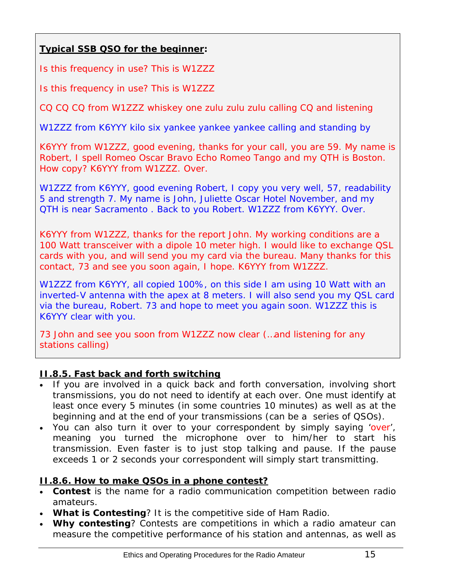# <span id="page-14-0"></span>**Typical SSB QSO for the beginner:**

Is this frequency in use? This is W1ZZZ

Is this frequency in use? This is W1ZZZ

CQ CQ CQ from W1ZZZ whiskey one zulu zulu zulu calling CQ and listening

W1ZZZ from K6YYY kilo six yankee yankee yankee calling and standing by

K6YYY from W1ZZZ, good evening, thanks for your call, you are 59. My name is Robert, I spell Romeo Oscar Bravo Echo Romeo Tango and my QTH is Boston. How copy? K6YYY from W1ZZZ. Over.

W1ZZZ from K6YYY, good evening Robert, I copy you very well, 57, readability 5 and strength 7. My name is John, Juliette Oscar Hotel November, and my QTH is near Sacramento . Back to you Robert. W1ZZZ from K6YYY. Over.

K6YYY from W1ZZZ, thanks for the report John. My working conditions are a 100 Watt transceiver with a dipole 10 meter high. I would like to exchange QSL cards with you, and will send you my card via the bureau. Many thanks for this contact, 73 and see you soon again, I hope. K6YYY from W1ZZZ.

W1ZZZ from K6YYY, all copied 100%, on this side I am using 10 Watt with an inverted-V antenna with the apex at 8 meters. I will also send you my QSL card via the bureau, Robert. 73 and hope to meet you again soon. W1ZZZ this is K6YYY clear with you.

73 John and see you soon from W1ZZZ now clear (...and listening for any stations calling)

#### <span id="page-14-1"></span>**II.8.5. Fast back and forth switching**

- If you are involved in a quick back and forth conversation, involving short transmissions, you do not need to identify at each *over*. One must identify at least once every 5 minutes (in some countries 10 minutes) as well as at the beginning and at the end of your *transmissions* (can be a series of QSOs).
- You can also turn it over to your correspondent by simply saying 'over', meaning you turned the microphone over to him/her to start his transmission. Even faster is to just stop talking and pause. If the pause exceeds 1 or 2 seconds your correspondent will simply start transmitting.

# <span id="page-14-2"></span>**II.8.6. How to make QSOs in a phone contest?**

- *Contest* is the name for a radio communication competition between radio amateurs.
- **What is Contesting**? It is the competitive side of Ham Radio.
- **Why contesting**? Contests are competitions in which a radio amateur can measure the competitive performance of his station and antennas, as well as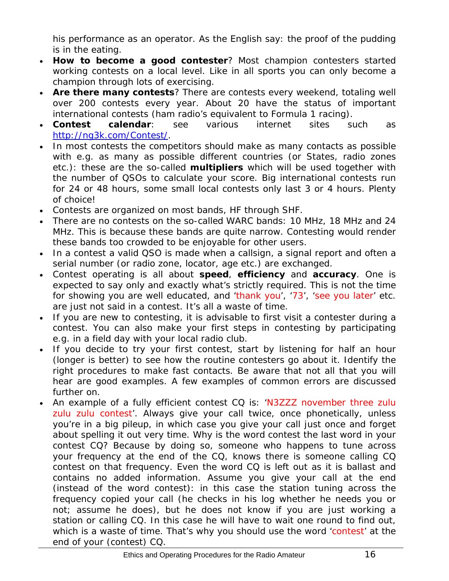his performance as an operator. As the English say: *the proof of the pudding is in the eating*.

- **How to become a good contester**? Most champion contesters started working contests on a local level. Like in all sports you can only become a champion through lots of exercising.
- **Are there many contests**? There are contests every weekend, totaling well over 200 contests every year. About 20 have the status of important international contests (ham radio's equivalent to Formula 1 racing).
- **Contest calendar**: see various internet sites such as <http://ng3k.com/Contest/>.
- In most contests the competitors should make as many contacts as possible with e.g. as many as possible different countries (or States, radio zones etc.): these are the so-called **multipliers** which will be used together with the number of QSOs to calculate your score. Big international contests run for 24 or 48 hours, some small local contests only last 3 or 4 hours. Plenty of choice!
- Contests are organized on most bands, HF through SHF.
- There are no contests on the so-called WARC bands: 10 MHz, 18 MHz and 24 MHz. This is because these bands are quite narrow. Contesting would render these bands too crowded to be enjoyable for other users.
- In a contest a valid QSO is made when a callsign, a signal report and often a serial number (or radio zone, locator, age etc.) are exchanged.
- Contest operating is all about **speed**, **efficiency** and **accuracy**. One is expected to say only and exactly what's strictly required. This is not the time for showing you are well educated, and 'thank you', '73', 'see you later' etc. are just not said in a contest. It's all a waste of time.
- If you are new to contesting, it is advisable to first visit a contester during a contest. You can also make your first steps in contesting by participating e.g. in a field day with your local radio club.
- If you decide to try your first contest, start by listening for half an hour (longer is better) to see how the routine contesters go about it. Identify the right procedures to make fast contacts. Be aware that not all that you will hear are good examples. A few examples of common errors are discussed further on.
- An example of a fully efficient contest CQ is: 'N3ZZZ november three zulu zulu zulu contest'. Always give your call twice, once phonetically, unless you're in a big pileup, in which case you give your call just once and forget about spelling it out very time. Why is the word *contest* the last word in your contest CQ? Because by doing so, someone who happens to tune across your frequency at the end of the CQ, knows there is someone calling CQ contest on that frequency. Even the word *CQ* is left out as it is ballast and contains no added information. Assume you give your call at the end (instead of the word *contest*): in this case the station tuning across the frequency copied your call (he checks in his log whether he needs you or not; assume he does), but he does not know if you are just working a station or calling CQ. In this case he will have to wait one round to find out, which is a waste of time. That's why you should use the word 'contest' at the end of your (contest) CQ.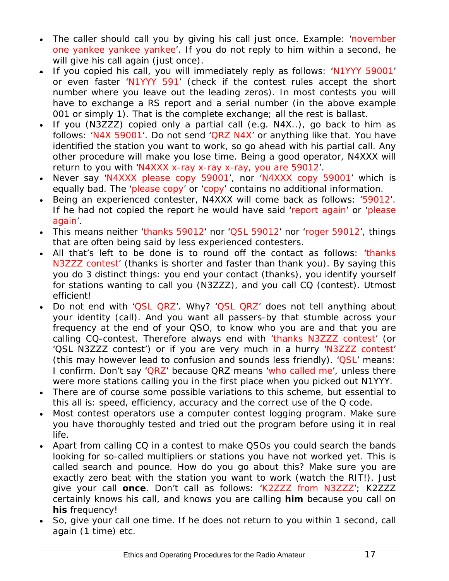- The caller should call you by giving his call just once. Example: 'november one yankee yankee yankee'. If you do not reply to him within a second, he will give his call again (just once).
- If you copied his call, you will immediately reply as follows: 'N1YYY 59001' or even faster 'N1YYY 591' (check if the contest rules accept the short number where you leave out the leading zeros). In most contests you will have to exchange a RS report and a serial number (in the above example 001 or simply 1). That is the complete exchange; all the rest is ballast.
- If you (N3ZZZ) copied only a partial call (e.g. N4X..), go back to him as follows: 'N4X 59001'. Do not send 'QRZ N4X' or anything like that. You have identified the station you want to work, so go ahead with his partial call. Any other procedure will make you lose time. Being a good operator, N4XXX will return to you with 'N4XXX x-ray x-ray x-ray, you are 59012'.
- Never say 'N4XXX please copy 59001', nor 'N4XXX copy 59001' which is equally bad. The 'please copy' or 'copy' contains no additional information.
- Being an experienced contester, N4XXX will come back as follows: '59012'. If he had not copied the report he would have said 'report again' or 'please again'.
- This means neither 'thanks 59012' nor 'QSL 59012' nor 'roger 59012', things that are often being said by less experienced contesters.
- All that's left to be done is to round off the contact as follows: 'thanks N3ZZZ contest' (*thanks* is shorter and faster than *thank you*). By saying this you do 3 distinct things: you end your contact (*thanks*), you identify yourself for stations wanting to call you (*N3ZZZ*), and you call CQ (*contest*). Utmost efficient!
- Do not end with 'QSL QRZ'. Why? 'QSL QRZ' does not tell anything about your identity (call). And you want all passers-by that stumble across your frequency at the end of your QSO, to know who you are and that you are calling CQ-contest. Therefore always end with 'thanks N3ZZZ contest' (or 'QSL N3ZZZ contest') or if you are very much in a hurry 'N3ZZZ contest' (this may however lead to confusion and sounds less friendly). 'QSL' means: *I confirm.* Don't say 'QRZ' because QRZ means 'who called me', unless there were more stations calling you in the first place when you picked out N1YYY.
- There are of course some possible variations to this scheme, but essential to this all is: speed, efficiency, accuracy and the correct use of the Q code.
- Most contest operators use a computer contest logging program. Make sure you have thoroughly tested and tried out the program before using it in real life.
- Apart from calling CQ in a contest to make QSOs you could search the bands looking for so-called *multipliers* or stations you have not worked yet. This is called *search and pounce*. How do you go about this? Make sure you are exactly zero beat with the station you want to work (watch the RIT!). Just give your call **once**. Don't call as follows: 'K2ZZZ from N3ZZZ'; K2ZZZ certainly knows his call, and knows you are calling **him** because you call on **his** frequency!
- So, give your call one time. If he does not return to you within 1 second, call again (1 time) etc.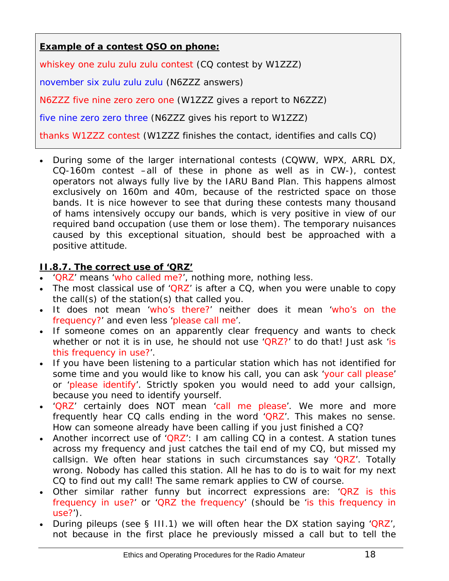<span id="page-17-0"></span>**Example of a contest QSO on phone:**

whiskey one zulu zulu zulu contest (CQ contest by W1ZZZ)

november six zulu zulu zulu (N6ZZZ answers)

N6ZZZ five nine zero zero one (W1ZZZ gives a report to N6ZZZ)

five nine zero zero three (N6ZZZ gives his report to W1ZZZ)

thanks W1ZZZ contest (W1ZZZ finishes the contact, identifies and calls CQ)

• During some of the larger international contests (CQWW, WPX, ARRL DX, CQ-160m contest –all of these in phone as well as in CW-), contest operators not always fully live by the IARU Band Plan. This happens almost exclusively on 160m and 40m, because of the restricted space on those bands. It is nice however to see that during these contests many thousand of hams intensively occupy our bands, which is very positive in view of our required band occupation (use them or lose them). The temporary nuisances caused by this exceptional situation, should best be approached with a positive attitude.

#### <span id="page-17-1"></span>**II.8.7. The correct use of 'QRZ'**

- 'QRZ' means 'who called me?', nothing more, nothing less.
- The most classical use of 'QRZ' is after a CQ, when you were unable to copy the call(s) of the station(s) that called you.
- It does not mean 'who's there?' neither does it mean 'who's on the frequency?' and even less 'please call me'.
- If someone comes on an apparently clear frequency and wants to check whether or not it is in use, he should not use 'QRZ?' to do that! Just ask 'is this frequency in use?'.
- If you have been listening to a particular station which has not identified for some time and you would like to know his call, you can ask 'your call please' or 'please identify'. Strictly spoken you would need to add your callsign, because you need to identify yourself.
- 'QRZ' certainly does NOT mean 'call me please'. We more and more frequently hear CQ calls ending in the word 'QRZ'. This makes no sense. How can someone already have been calling if you just finished a CQ?
- Another incorrect use of 'QRZ': I am calling  $CQ$  in a contest. A station tunes across my frequency and just catches the tail end of my CQ, but missed my callsign. We often hear stations in such circumstances say 'QRZ'. Totally wrong. Nobody has called this station. All he has to do is to wait for my next CQ to find out my call! The same remark applies to CW of course.
- Other similar rather funny but incorrect expressions are: 'QRZ is this frequency in use?' or 'QRZ the frequency' (should be 'is this frequency in use?').
- During pileups (see § III.1) we will often hear the DX station saying 'QRZ', not because in the first place he previously missed a call but to tell the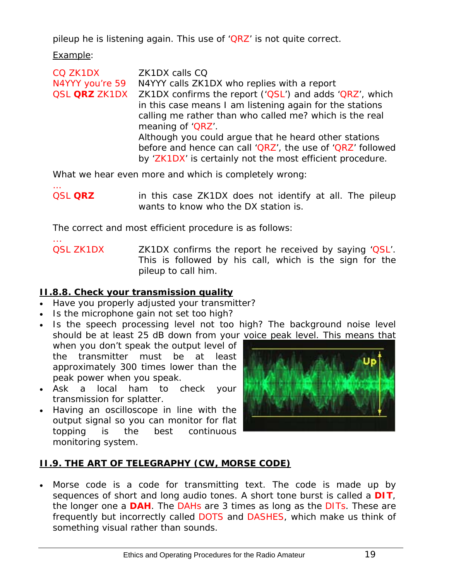<span id="page-18-0"></span>pileup he is listening again. This use of 'QRZ' is not quite correct.

Example:

CQ ZK1DX ZK1DX calls CQ N4YYY you're 59 N4YYY calls ZK1DX who replies with a report QSL **QRZ** ZK1DX ZK1DX confirms the report ('QSL') and adds 'QRZ', which in this case means *I am listening again for the stations calling me* rather than *who called me?* which is the real meaning of 'QRZ'. Although you could argue that he heard other stations before and hence can call 'QRZ', the use of 'QRZ' followed by 'ZK1DX' is certainly not the most efficient procedure.

What we hear even more and which is completely wrong:

… QSL **QRZ** in this case ZK1DX does not identify at all. The pileup wants to know who the DX station is.

The correct and most efficient procedure is as follows:

... QSL ZK1DX **ZK1DX** confirms the report he received by saying 'QSL'. This is followed by his call, which is the sign for the pileup to call him.

# <span id="page-18-1"></span>**II.8.8. Check your transmission quality**

- Have you properly adjusted your transmitter?
- Is the microphone gain not set too high?
- Is the speech processing level not too high? The background noise level should be at least 25 dB down from your voice peak level. This means that when you don't speak the output level of the transmitter must be at least approximately 300 times lower than the peak power when you speak.
- Ask a local ham to check your transmission for *splatter*.
- Having an oscilloscope in line with the output signal so you can monitor for flat topping is the best continuous monitoring system.



# <span id="page-18-2"></span>**II.9. THE ART OF TELEGRAPHY (CW, MORSE CODE)**

Morse code is a code for transmitting text. The code is made up by sequences of short and long audio tones. A short tone burst is called a **DIT**, the longer one a *DAH*. The *DAHs* are 3 times as long as the *DITs*. These are frequently but incorrectly called *DOTS* and *DASHES*, which make us think of something visual rather than sounds.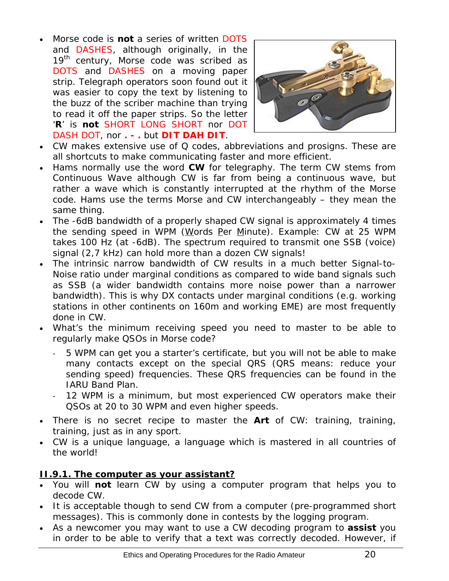<span id="page-19-0"></span>• Morse code is **not** a series of written *DOTS* and *DASHES*, although originally, in the 19<sup>th</sup> century, Morse code was scribed as *DOTS* and *DASHES* on a moving paper strip. Telegraph operators soon found out it was easier to copy the text by listening to the buzz of the scriber machine than trying to read it off the paper strips. So the letter '**R**' is **not** *SHORT LONG SHORT* nor *DOT DASH DOT*, nor **. - .** but *DIT DAH DIT*.



- CW makes extensive use of *Q codes*, *abbreviations* and *prosigns*. These are all shortcuts to make communicating faster and more efficient.
- Hams normally use the word *CW* for telegraphy. The term *CW* stems from *Continuous Wave* although CW is far from being a *continuous wave*, but rather a wave which is constantly interrupted at the rhythm of the Morse code. Hams use the terms *Morse* and *CW* interchangeably – they mean the same thing.
- The -6dB bandwidth of a properly shaped CW signal is approximately 4 times the sending speed in WPM (Words Per Minute). Example: CW at 25 WPM takes 100 Hz (at -6dB). The spectrum required to transmit one SSB (voice) signal (2,7 kHz) can hold more than a dozen CW signals!
- The intrinsic narrow bandwidth of CW results in a much better Signal-to-Noise ratio under marginal conditions as compared to wide band signals such as SSB (a wider bandwidth contains more noise power than a narrower bandwidth). This is why DX contacts under marginal conditions (e.g. working stations in other continents on 160m and working EME) are most frequently done in CW.
- What's the minimum receiving speed you need to master to be able to regularly make QSOs in Morse code?
	- 5 WPM can get you a starter's certificate, but you will not be able to make many contacts except on the special *QRS* (*QRS* means: reduce your sending speed) frequencies. These *QRS* frequencies can be found in the IARU Band Plan.
	- 12 WPM is a minimum, but most experienced CW operators make their QSOs at 20 to 30 WPM and even higher speeds.
- There is no secret recipe to master the **Art** of CW: training, training, training, just as in any sport.
- CW is a unique language, a language which is mastered in all countries of the world!

# <span id="page-19-1"></span>**II.9.1. The computer as your assistant?**

- You will **not** learn CW by using a computer program that helps you to decode CW.
- It is acceptable though to send CW from a computer (pre-programmed short messages). This is commonly done in contests by the logging program.
- As a newcomer you may want to use a CW decoding program to **assist** you in order to be able to verify that a text was correctly decoded. However, if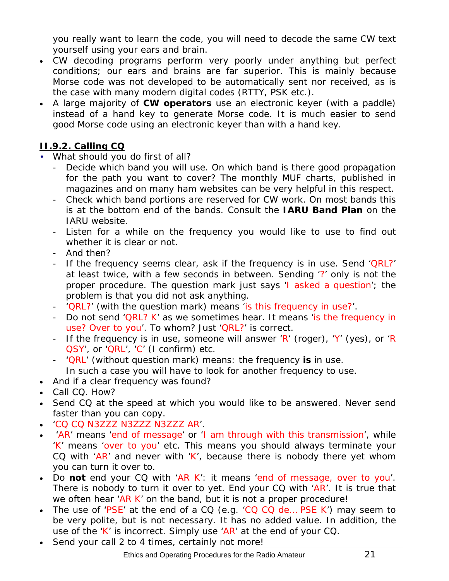<span id="page-20-0"></span>you really want to learn the code, you will need to decode the same CW text yourself using your ears and brain.

- CW decoding programs perform very poorly under anything but perfect conditions; our ears and brains are far superior. This is mainly because Morse code was not developed to be automatically sent nor received, as is the case with many modern digital codes (RTTY, PSK etc.).
- A large majority of **CW operators** use an electronic keyer (with a paddle) instead of a hand key to generate Morse code. It is much easier to send *good* Morse code using an electronic keyer than with a hand key.

# <span id="page-20-1"></span>**II.9.2. Calling CQ**

- What should you do first of all?
	- Decide which band you will use. On which band is there good propagation for the path you want to cover? The monthly MUF charts, published in magazines and on many ham websites can be very helpful in this respect.
	- Check which band portions are reserved for CW work. On most bands this is at the bottom end of the bands. Consult the **IARU Band Plan** on the IARU website.
	- Listen for a while on the frequency you would like to use to find out whether it is clear or not.
	- And then?
	- If the frequency seems clear, ask if the frequency is in use. Send 'QRL?' at least twice, with a few seconds in between. Sending '?' only is not the proper procedure. The question mark just says 'I asked a question'; the problem is that you did not ask anything.
	- 'QRL?' (with the question mark) means 'is this frequency in use?'.
	- Do not send 'QRL? K' as we sometimes hear. It means 'is the frequency in use? Over to you'. To whom? Just 'QRL?' is correct.
	- If the frequency is in use, someone will answer 'R' (roger), 'Y' (yes), or 'R QSY', or 'QRL', 'C' (I confirm) etc.
	- 'QRL' (without question mark) means: the frequency **is** in use.

In such a case you will have to look for another frequency to use.

- And if a clear frequency was found?
- Call CQ. How?
- Send CQ at the speed at which you would like to be answered. Never send faster than you can copy.
- 'CQ CQ N3ZZZ N3ZZZ N3ZZZ AR'.
- 'AR' means 'end of message' or 'I am through with this transmission', while 'K' means 'over to you' etc. This means you should always terminate your CQ with 'AR' and never with 'K', because there is nobody there yet whom you can turn it over to.
- Do **not** end your CQ with 'AR K': it means 'end of message, over to you'. There is nobody to turn it over to yet. End your CQ with 'AR'. It is true that we often hear 'AR K' on the band, but it is not a proper procedure!
- The use of 'PSE' at the end of a CQ (e.g. 'CQ CQ de... PSE K') may seem to be very polite, but is not necessary. It has no added value. In addition, the use of the 'K' is incorrect. Simply use 'AR' at the end of your CQ.
- Send your call 2 to 4 times, certainly not more!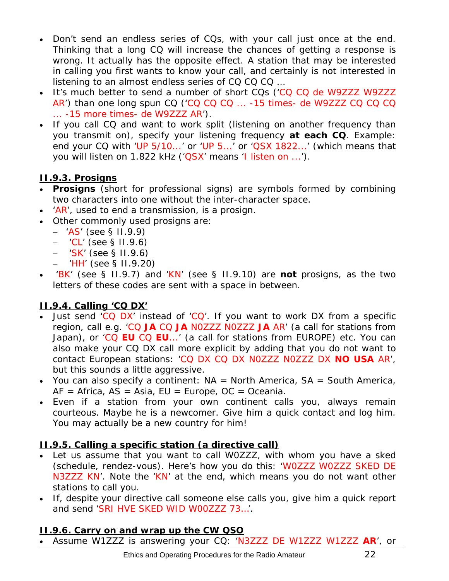- <span id="page-21-0"></span>• Don't send an endless series of CQs, with your call just once at the end. Thinking that a long CQ will increase the chances of getting a response is wrong. It actually has the opposite effect. A station that may be interested in calling you first wants to know your call, and certainly is not interested in listening to an almost endless series of CQ CQ CQ …
- It's much better to send a number of short CQs ('CQ CQ de W9ZZZ W9ZZZ AR') than one long spun CQ ('CQ CQ CQ ... -15 times- de W9ZZZ CQ CQ CQ ... -15 more times- de W9ZZZ AR').
- If you call CQ and want to work *split* (listening on another frequency than you transmit on), specify your listening frequency **at each CQ**. Example: end your CQ with 'UP 5/10...' or 'UP 5...' or 'QSX 1822...' (which means that you will listen on 1.822 kHz ('QSX' means 'I listen on ...').

# <span id="page-21-1"></span>**II.9.3. Prosigns**

- **Prosigns** (short for *professional signs*) are symbols formed by combining two characters into one *without the inter-character space*.
- 'AR', used to end a transmission, is a *prosign*.
- Other commonly used prosigns are:
	- − 'AS' (see § II.9.9)
	- − 'CL' (see § II.9.6)
	- − 'SK' (see § II.9.6)
	- − 'HH' (see § II.9.20)
- 'BK' (see § II.9.7) and 'KN' (see § II.9.10) are **not** prosigns, as the two letters of these codes are sent with a space in between.

# <span id="page-21-2"></span>**II.9.4. Calling 'CQ DX'**

- Just send 'CQ DX' instead of 'CQ'. If you want to work DX from a specific region, call e.g. 'CQ **JA** CQ **JA** N0ZZZ N0ZZZ **JA** AR' (a call for stations from Japan), or 'CQ **EU** CQ **EU**...' (a call for stations from EUROPE) etc. You can also make your CQ DX call more explicit by adding that you do not want to contact European stations: 'CQ DX CQ DX N0ZZZ N0ZZZ DX **NO USA** AR', but this sounds a little aggressive.
- You can also specify a continent:  $NA = North America$ ,  $SA = South America$ ,  $AF = Africa, AS = Asia, EU = Europe, OC = Oceania.$
- Even if a station from your own continent calls you, always remain courteous. Maybe he is a newcomer. Give him a quick contact and log him. You may actually be a new country for him!

# <span id="page-21-3"></span>**II.9.5. Calling a specific station (a directive call)**

- Let us assume that you want to call W0ZZZ, with whom you have a *sked*  (*schedule*, *rendez-vous*). Here's how you do this: 'W0ZZZ W0ZZZ SKED DE N3ZZZ KN'. Note the 'KN' at the end, which means you do not want other stations to call you.
- If, despite your directive call someone else calls you, give him a quick report and send 'SRI HVE SKED WID W00ZZZ 73…'.

# <span id="page-21-4"></span>**II.9.6. Carry on and wrap up the CW QSO**

• Assume W1ZZZ is answering your CQ: 'N3ZZZ DE W1ZZZ W1ZZZ **AR**', or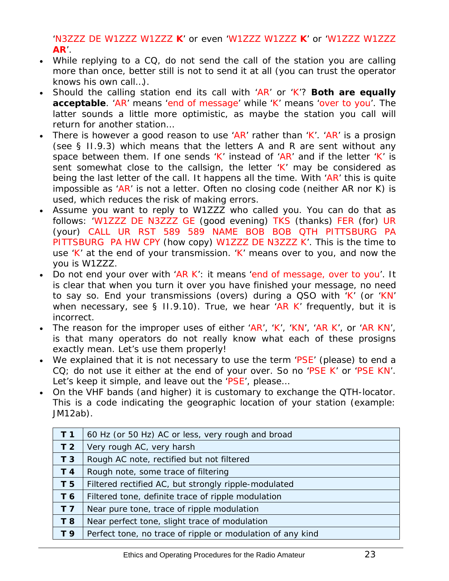'N3ZZZ DE W1ZZZ W1ZZZ **K**' or even 'W1ZZZ W1ZZZ **K**' or 'W1ZZZ W1ZZZ **AR**'.

- While replying to a CQ, do not send the call of the station you are calling more than once, better still is not to send it at all (you can trust the operator knows his own call…).
- Should the calling station end its call with 'AR' or 'K'? **Both are equally acceptable**. 'AR' means 'end of message' while 'K' means 'over to you'. The latter sounds a little more optimistic, as maybe the station you call will return for another station…
- There is however a good reason to use 'AR' rather than 'K'. 'AR' is a prosign (see § II.9.3) which means that the letters A and R are sent without any space between them. If one sends 'K' instead of 'AR' and if the letter 'K' is sent somewhat close to the callsign, the letter 'K' may be considered as being the last letter of the call. It happens all the time. With 'AR' this is quite impossible as 'AR' is not a letter. Often no closing code (neither AR nor K) is used, which reduces the risk of making errors.
- Assume you want to reply to W1ZZZ who called you. You can do that as follows: 'W1ZZZ DE N3ZZZ GE (good evening) TKS (thanks) FER (for) UR (your) CALL UR RST 589 589 NAME BOB BOB QTH PITTSBURG PA PITTSBURG PA HW CPY (how copy) W1ZZZ DE N3ZZZ K'. This is the time to use 'K' at the end of your transmission. 'K' means *over to you*, and now the *you* is W1ZZZ.
- Do not end your *over* with 'AR K': it means 'end of message, over to you'. It is clear that when you turn it over you have finished your message, no need to say so. End your transmissions (*overs*) during a QSO with 'K' (or 'KN' when necessary, see  $\S$  II.9.10). True, we hear 'AR K' frequently, but it is incorrect.
- The reason for the improper uses of either 'AR', 'K', 'KN', 'AR K', or 'AR KN', is that many operators do not really know what each of these prosigns exactly mean. Let's use them properly!
- We explained that it is not necessary to use the term 'PSE' (*please*) to end a CQ; do not use it either at the end of your *over*. So no 'PSE K' or 'PSE KN'. Let's keep it simple, and leave out the 'PSE', please...
- On the VHF bands (and higher) it is customary to exchange the QTH-locator. This is a code indicating the geographic location of your station (example: JM12ab).

| T <sub>1</sub> | 60 Hz (or 50 Hz) AC or less, very rough and broad          |
|----------------|------------------------------------------------------------|
| T <sub>2</sub> | Very rough AC, very harsh                                  |
| T <sub>3</sub> | Rough AC note, rectified but not filtered                  |
| T 4            | Rough note, some trace of filtering                        |
| T <sub>5</sub> | Filtered rectified AC, but strongly ripple-modulated       |
| T 6            | Filtered tone, definite trace of ripple modulation         |
| T <sub>7</sub> | Near pure tone, trace of ripple modulation                 |
| T 8            | Near perfect tone, slight trace of modulation              |
| T 9            | Perfect tone, no trace of ripple or modulation of any kind |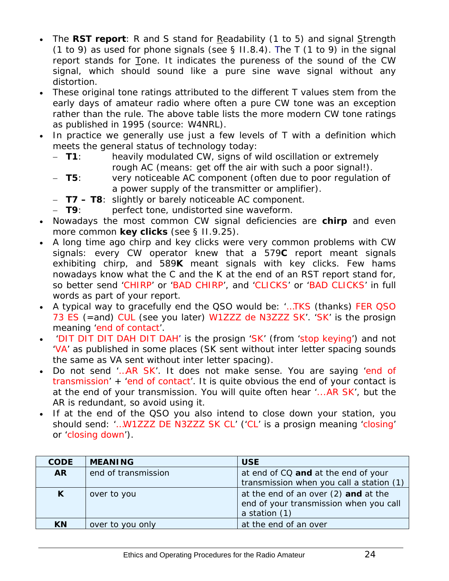- The **RST report**: R and S stand for Readability (1 to 5) and signal Strength (1 to 9) as used for phone signals (see  $\S$  II.8.4). The T (1 to 9) in the signal report stands for Tone. It indicates the pureness of the sound of the CW signal, which should sound like a pure sine wave signal without any distortion.
- These original tone ratings attributed to the different T values stem from the early days of amateur radio where often a pure CW tone was an exception rather than the rule. The above table lists the more modern CW tone ratings as published in 1995 (source: W4NRL).
- In practice we generally use just a few levels of T with a definition which meets the general status of technology today:
	- − **T1**: heavily modulated CW, signs of wild oscillation or extremely rough AC (means: get off the air with such a poor signal!).
	- − **T5**: very noticeable AC component (often due to poor regulation of a power supply of the transmitter or amplifier).
	- − **T7 T8**: slightly or barely noticeable AC component.
	- − **T9**: perfect tone, undistorted sine waveform.
- Nowadays the most common CW signal deficiencies are **chirp** and even more common **key clicks** (see § II.9.25).
- A long time ago chirp and key clicks were very common problems with CW signals: every CW operator knew that a 579**C** report meant signals exhibiting chirp, and 589**K** meant signals with key clicks. Few hams nowadays know what the C and the K at the end of an RST report stand for, so better send 'CHIRP' or 'BAD CHIRP', and 'CLICKS' or 'BAD CLICKS' in full words as part of your report.
- A typical way to gracefully end the QSO would be: '...TKS (thanks) FER QSO 73 ES (=and) CUL (see you later) W1ZZZ de N3ZZZ SK'. 'SK' is the prosign meaning 'end of contact'.
- 'DIT DIT DIT DAH DIT DAH' is the prosign 'SK' (from 'stop keying') and not 'VA' as published in some places (SK sent without inter letter spacing sounds the same as VA sent without inter letter spacing).
- Do not send '... AR SK'. It does not make sense. You are saying 'end of transmission' + 'end of contact'. It is quite obvious the end of your contact is at the end of your transmission. You will quite often hear '...AR SK', but the AR is redundant, so avoid using it.
- If at the end of the QSO you also intend to close down your station, you should send: '…W1ZZZ DE N3ZZZ SK CL' ('CL' is a prosign meaning 'closing' or 'closing down').

| <b>CODE</b> | <b>MEANING</b>      | <b>USE</b>                                                                                      |
|-------------|---------------------|-------------------------------------------------------------------------------------------------|
| <b>AR</b>   | end of transmission | at end of CQ and at the end of your<br>transmission when you call a station (1)                 |
| K           | over to you         | at the end of an over (2) and at the<br>end of your transmission when you call<br>a station (1) |
| <b>KN</b>   | over to you only    | at the end of an over                                                                           |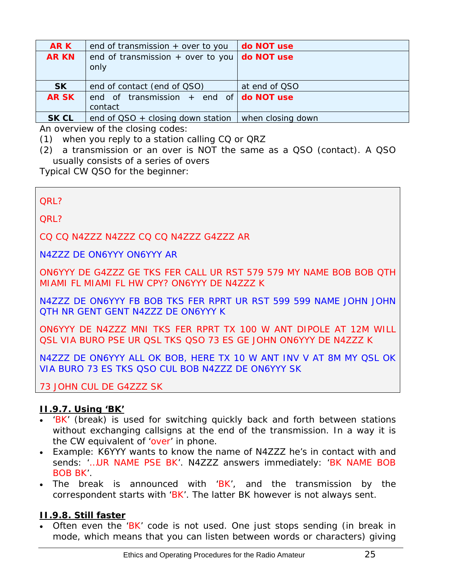<span id="page-24-0"></span>

| <b>ARK</b>   | end of transmission $+$ over to you                         | do NOT use        |
|--------------|-------------------------------------------------------------|-------------------|
| <b>AR KN</b> | end of transmission $+$ over to you<br>only                 | do NOT use        |
| <b>SK</b>    | end of contact (end of QSO)                                 | at end of QSO     |
| <b>ARSK</b>  | end of transmission + end of $\text{do NOT use}$<br>contact |                   |
| <b>SK CL</b> | end of $QSO +$ closing down station                         | when closing down |

An overview of the *closing codes*:

(1) when you reply to a station calling CQ or QRZ

*(2)* a *transmission* or an *over* is NOT the same as a QSO (contact). A QSO usually consists of a series of *overs* 

Typical CW QSO for the beginner:

QRL?

QRL?

CQ CQ N4ZZZ N4ZZZ CQ CQ N4ZZZ G4ZZZ AR

N4ZZZ DE ON6YYY ON6YYY AR

ON6YYY DE G4ZZZ GE TKS FER CALL UR RST 579 579 MY NAME BOB BOB QTH MIAMI FL MIAMI FL HW CPY? ON6YYY DE N4ZZZ K

N4ZZZ DE ON6YYY FB BOB TKS FER RPRT UR RST 599 599 NAME JOHN JOHN QTH NR GENT GENT N4ZZZ DE ON6YYY K

ON6YYY DE N4ZZZ MNI TKS FER RPRT TX 100 W ANT DIPOLE AT 12M WILL QSL VIA BURO PSE UR QSL TKS QSO 73 ES GE JOHN ON6YYY DE N4ZZZ K

N4ZZZ DE ON6YYY ALL OK BOB, HERE TX 10 W ANT INV V AT 8M MY QSL OK VIA BURO 73 ES TKS QSO CUL BOB N4ZZZ DE ON6YYY SK

73 JOHN CUL DE G4ZZZ SK

#### <span id="page-24-1"></span>**II.9.7. Using 'BK'**

- 'BK' (*break*) is used for switching quickly back and forth between stations without exchanging callsigns at the end of the transmission. In a way it is the CW equivalent of 'over' in phone.
- Example: K6YYY wants to know the name of N4ZZZ he's in contact with and sends: '…UR NAME PSE BK'. N4ZZZ answers immediately: 'BK NAME BOB BOB BK'.
- The break is announced with  $BK'$ , and the transmission by the correspondent starts with 'BK'. The latter *BK* however is not always sent.

#### <span id="page-24-2"></span>**II.9.8. Still faster**

• Often even the 'BK' code is not used. One just stops sending (in *break in* mode, which means that you can listen between words or characters) giving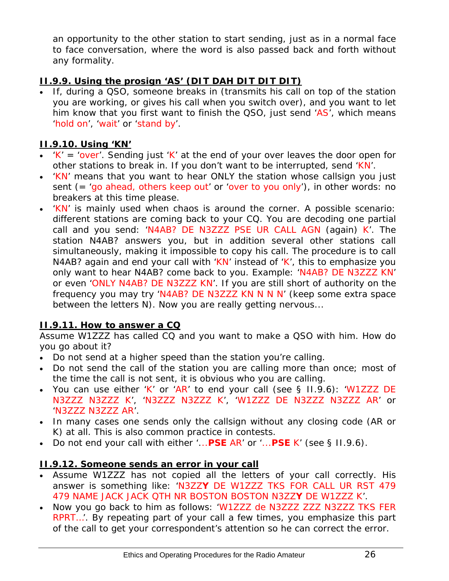<span id="page-25-0"></span>an opportunity to the other station to start sending, just as in a normal face to face conversation, where the word is also passed back and forth without any formality.

# <span id="page-25-1"></span>**II.9.9. Using the prosign 'AS' (DIT DAH DIT DIT DIT)**

• If, during a QSO, someone *breaks in* (transmits his call on top of the station you are working, or gives his call when you switch over), and you want to let him know that you first want to finish the QSO, just send 'AS', which means 'hold on', 'wait' or 'stand by'.

#### <span id="page-25-2"></span>**II.9.10. Using 'KN'**

- $K' = 'over'$ . Sending just 'K' at the end of your over leaves the door open for other stations to break in. If you don't want to be interrupted, send 'KN'.
- 'KN' means that you want to hear ONLY the station whose callsign you just sent (= 'go ahead, others keep out' or 'over to you only'), in other words: no breakers at this time please.
- 'KN' is mainly used when chaos is around the corner. A possible scenario: different stations are coming back to your CQ. You are decoding one partial call and you send: 'N4AB? DE N3ZZZ PSE UR CALL AGN (again) K'. The station *N4AB?* answers you, but in addition several other stations call simultaneously, making it impossible to copy his call. The procedure is to call *N4AB?* again and end your call with 'KN' instead of 'K', this to emphasize you only want to hear *N4AB?* come back to you. Example: 'N4AB? DE N3ZZZ KN' or even 'ONLY N4AB? DE N3ZZZ KN'. If you are still short of authority on the frequency you may try 'N4AB? DE N3ZZZ KN N N N' (keep some extra space between the letters N). Now you are really getting nervous...

# <span id="page-25-3"></span>**II.9.11. How to answer a CQ**

Assume W1ZZZ has called CQ and you want to make a QSO with him. How do you go about it?

- Do not send at a higher speed than the station you're calling.
- Do not send the call of the station you are calling more than once; most of the time the call is not sent, it is obvious who you are calling.
- You can use either 'K' or 'AR' to end your call (see § II.9.6): 'W1ZZZ DE N3ZZZ N3ZZZ K', 'N3ZZZ N3ZZZ K', 'W1ZZZ DE N3ZZZ N3ZZZ AR' or 'N3ZZZ N3ZZZ AR'.
- In many cases one sends only the callsign without any *closing code* (AR or K) at all. This is also common practice in contests.
- Do not end your call with either '...**PSE** AR' or '...**PSE** K' (see § II.9.6).

#### <span id="page-25-4"></span>**II.9.12. Someone sends an error in your call**

- Assume W1ZZZ has not copied all the letters of your call correctly. His answer is something like: 'N3ZZ**Y** DE W1ZZZ TKS FOR CALL UR RST 479 479 NAME JACK JACK QTH NR BOSTON BOSTON N3ZZ**Y** DE W1ZZZ K'.
- Now you go back to him as follows: 'W1ZZZ de N3ZZZ ZZZ N3ZZZ TKS FER RPRT…'. By repeating part of your call a few times, you emphasize this part of the call to get your correspondent's attention so he can correct the error.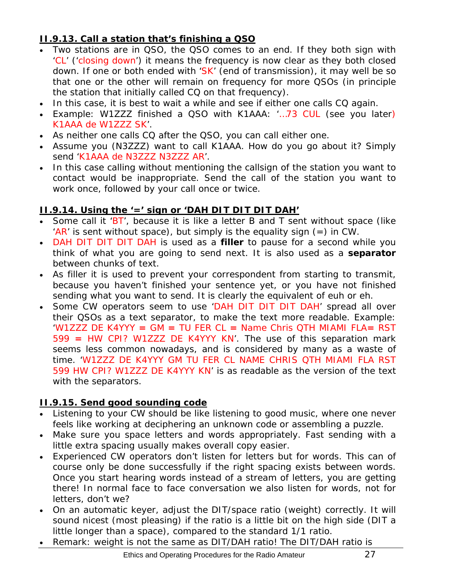# <span id="page-26-1"></span><span id="page-26-0"></span>**II.9.13. Call a station that's finishing a QSO**

- Two stations are in QSO, the QSO comes to an end. If they both sign with 'CL' ('closing down') it means the frequency is now clear as they both closed down. If one or both ended with 'SK' (end of transmission), it may well be so that one or the other will remain on frequency for more QSOs (in principle the station that initially called CQ on that frequency).
- In this case, it is best to wait a while and see if either one calls CQ again.
- Example: W1ZZZ finished a QSO with K1AAA: '…73 CUL (see you later) K1AAA de W1ZZZ SK'.
- As neither one calls CQ after the QSO, you can call either one.
- Assume you (N3ZZZ) want to call K1AAA. How do you go about it? Simply send 'K1AAA de N3ZZZ N3ZZZ AR'.
- In this case calling without mentioning the callsign of the station you want to contact would be inappropriate. Send the call of the station you want to work once, followed by your call once or twice.

# <span id="page-26-2"></span>**II.9.14. Using the '=' sign or 'DAH DIT DIT DIT DAH'**

- Some call it 'BT', because it is like a letter B and T sent without space (like 'AR' is sent without space), but simply is the equality sign  $(=)$  in CW.
- DAH DIT DIT DIT DAH is used as a *filler* to pause for a second while you think of what you are going to send next. It is also used as a *separator* between chunks of text.
- As *filler* it is used to prevent your correspondent from starting to transmit, because you haven't finished your sentence yet, or you have not finished sending what you want to send. It is clearly the equivalent of *euh* or *eh*.
- Some CW operators seem to use 'DAH DIT DIT DIT DAH' spread all over their QSOs as a *text separator*, to make the text more readable. Example: 'W1ZZZ DE K4YYY **=** GM **=** TU FER CL **=** Name Chris QTH MIAMI FLA**=** RST 599 **=** HW CPI? W1ZZZ DE K4YYY KN'. The use of this separation mark seems less common nowadays, and is considered by many as a waste of time. 'W1ZZZ DE K4YYY GM TU FER CL NAME CHRIS QTH MIAMI FLA RST 599 HW CPI? W1ZZZ DE K4YYY KN' is as readable as the version of the text with the separators.

#### <span id="page-26-3"></span>**II.9.15. Send good sounding code**

- Listening to your CW should be like listening to good music, where one never feels like *working* at deciphering an unknown code or assembling a puzzle.
- Make sure you *space* letters and words appropriately. Fast sending with a little extra spacing usually makes overall copy easier.
- Experienced CW operators don't listen for letters but for words. This can of course only be done successfully if the right spacing exists between words. Once you start hearing words instead of a stream of letters, you are getting there! In normal face to face conversation we also listen for words, not for letters, don't we?
- On an automatic keyer, adjust the DIT/space ratio (weight) correctly. It will sound nicest (most pleasing) if the ratio is a little bit on the high side (DIT a little longer than a space), compared to the standard 1/1 ratio.
- Remark: weight is not the same as DIT/DAH ratio! The DIT/DAH ratio is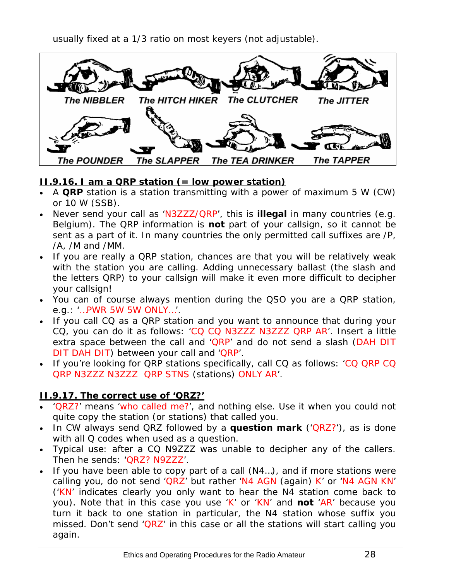usually fixed at a 1/3 ratio on most keyers (not adjustable).

<span id="page-27-0"></span>

#### <span id="page-27-1"></span>**II.9.16. I am a QRP station (= low power station)**

- A **QRP** station is a station transmitting with a power of maximum 5 W (CW) or 10 W (SSB).
- Never send your call as 'N3ZZZ/QRP', this is **illegal** in many countries (e.g. Belgium). The QRP information is **not** part of your callsign, so it cannot be sent as a part of it. In many countries the only permitted call suffixes are /P, /A, /M and /MM.
- If you are really a QRP station, chances are that you will be *relatively weak* with the station you are calling. Adding unnecessary ballast (the slash and the letters QRP) to your callsign will make it even more difficult to decipher your callsign!
- You can of course always mention during the QSO you are a QRP station, e.g.: '…PWR 5W 5W ONLY…'.
- If you call CQ as a QRP station and you want to announce that during your CQ, you can do it as follows: 'CQ CQ N3ZZZ N3ZZZ QRP AR'. Insert a little extra space between the call and 'QRP' and do not send a slash (DAH DIT DIT DAH DIT) between your call and 'QRP'.
- If you're looking for QRP stations specifically, call CQ as follows: 'CQ QRP CQ QRP N3ZZZ N3ZZZ QRP STNS (stations) ONLY AR'.

#### <span id="page-27-2"></span>**II.9.17. The correct use of 'QRZ?'**

- 'QRZ?' means 'who called me?', and nothing else. Use it when you could not quite copy the station (or stations) that called you.
- In CW always send QRZ followed by a **question mark** ('QRZ?'), as is done with all Q codes when used as a question.
- Typical use: after a CQ N9ZZZ was unable to decipher any of the callers. Then he sends: 'QRZ? N9ZZZ'.
- If you have been able to copy part of a call (N4...), and if more stations were calling you, do not send 'QRZ' but rather 'N4 AGN (again) K' or 'N4 AGN KN' ('KN' indicates clearly you only want to hear the N4 station come back to you). Note that in this case you use 'K' or 'KN' and **not** 'AR' because you turn it back to one station in particular, the N4 station whose suffix you missed. Don't send 'QRZ' in this case or all the stations will start calling you again.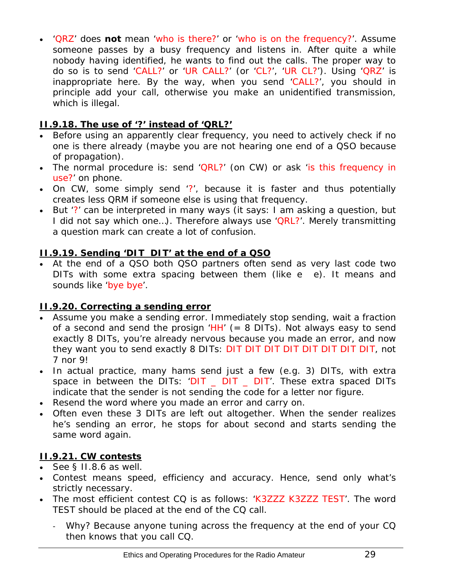<span id="page-28-0"></span>• 'QRZ' does **not** mean 'who is there?' or 'who is on the frequency?'. Assume someone passes by a busy frequency and listens in. After quite a while nobody having identified, he wants to find out the calls. The proper way to do so is to send 'CALL?' or 'UR CALL?' (or 'CL?', 'UR CL?'). Using 'QRZ' is inappropriate here. By the way, when you send 'CALL?', you should in principle add your call, otherwise you make an unidentified transmission, which is illegal.

# <span id="page-28-1"></span>**II.9.18. The use of '?' instead of 'QRL?'**

- Before using an apparently clear frequency, you need to actively check if no one is there already (maybe you are not hearing one end of a QSO because of propagation).
- The normal procedure is: send 'QRL?' (on CW) or ask 'is this frequency in use?' on phone.
- On CW, some simply send '?', because it is faster and thus potentially creates less QRM if someone else is using that frequency.
- But '?' can be interpreted in many ways (it says: *I am asking a question, but I did not say which one…*). Therefore always use 'QRL?'. Merely transmitting a question mark can create a lot of confusion.

#### <span id="page-28-2"></span>**II.9.19. Sending 'DIT DIT' at the end of a QSO**

• At the end of a QSO both QSO partners often send as very last code two DITs with some extra spacing between them (like e e). It means and sounds like 'bye bye'.

#### <span id="page-28-3"></span>**II.9.20. Correcting a sending error**

- Assume you make a sending error. Immediately stop sending, wait a fraction of a second and send the prosign ' $HH'$  (= 8 DITs). Not always easy to send exactly 8 DITs, you're already nervous because you made an error, and now they want you to send exactly 8 DITs: DIT DIT DIT DIT DIT DIT DIT DIT, not 7 nor 9!
- In actual practice, many hams send just a few (e.g. 3) DITs, with extra space in between the DITs: 'DIT \_ DIT \_ DIT'. These extra spaced DITs indicate that the sender is not sending the code for a letter nor figure.
- Resend the word where you made an error and carry on.
- Often even these 3 DITs are left out altogether. When the sender realizes he's sending an error, he stops for about second and starts sending the same word again.

# <span id="page-28-4"></span>**II.9.21. CW contests**

- See § II.8.6 as well.
- Contest means speed, efficiency and accuracy. Hence, send only what's strictly necessary.
- The most efficient contest CQ is as follows: 'K3ZZZ K3ZZZ TEST'. The word *TEST* should be placed at the end of the CQ call.
	- Why? Because anyone tuning across the frequency at the end of your CQ then knows that you call CQ.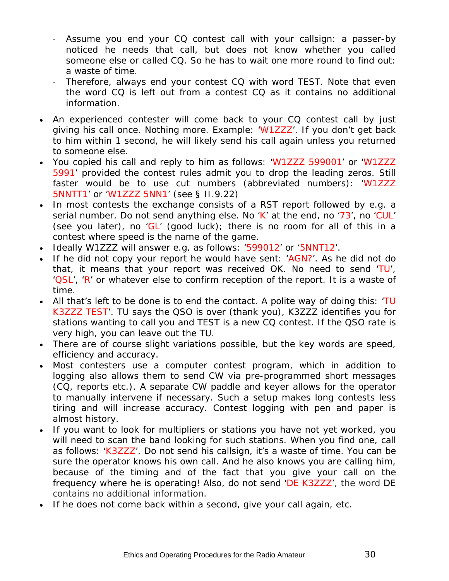- Assume you end your CQ contest call with your callsign: a passer-by noticed he needs that call, but does not know whether you called someone else or called CQ. So he has to wait one more round to find out: a waste of time.
- Therefore, always end your contest CQ with word *TEST*. Note that even the word *CQ* is left out from a contest CQ as it contains no additional information.
- An experienced contester will come back to your CQ contest call by just giving his call once. Nothing more. Example: 'W1ZZZ'. If you don't get back to him within 1 second, he will likely send his call again unless you returned to someone else.
- You copied his call and reply to him as follows: 'W1ZZZ 599001' or 'W1ZZZ 5991' provided the contest rules admit you to drop the leading zeros. Still faster would be to use *cut numbers* (abbreviated numbers): 'W1ZZZ 5NNTT1' or 'W1ZZZ 5NN1' (see § II.9.22)
- In most contests the exchange consists of a RST report followed by e.g. a serial number. Do not send anything else. No 'K' at the end, no '73', no 'CUL' (see you later), no 'GL' (good luck); there is no room for all of this in a contest where *speed* is the name of the game.
- Ideally W1ZZZ will answer e.g. as follows: '599012' or '5NNT12'.
- If he did not copy your report he would have sent: 'AGN?'. As he did not do that, it means that your report was received OK. No need to send 'TU', 'QSL', 'R' or whatever else to confirm reception of the report. It is a waste of time.
- All that's left to be done is to end the contact. A polite way of doing this: 'TU K3ZZZ TEST'. *TU* says the QSO is over (thank you), *K3ZZZ* identifies you for stations wanting to call you and *TEST* is a new CQ contest. If the QSO rate is very high, you can leave out the *TU*.
- There are of course slight variations possible, but the key words are speed, efficiency and accuracy.
- Most contesters use a computer contest program, which in addition to logging also allows them to send CW via pre-programmed short messages (CQ, reports etc.). A separate CW paddle and keyer allows for the operator to manually intervene if necessary. Such a setup makes long contests less tiring and will increase accuracy. Contest logging with pen and paper is almost history.
- If you want to look for *multipliers* or stations you have not yet worked, you will need to scan the band looking for such stations. When you find one, call as follows: 'K3ZZZ'. Do not send his callsign, it's a waste of time. You can be sure the operator knows his own call. And he also knows you are calling him, because of the timing and of the fact that you give your call on the frequency where he is operating! Also, do not send 'DE K3ZZZ', the word *DE* contains no additional information.
- If he does not come back within a second, give your call again, etc.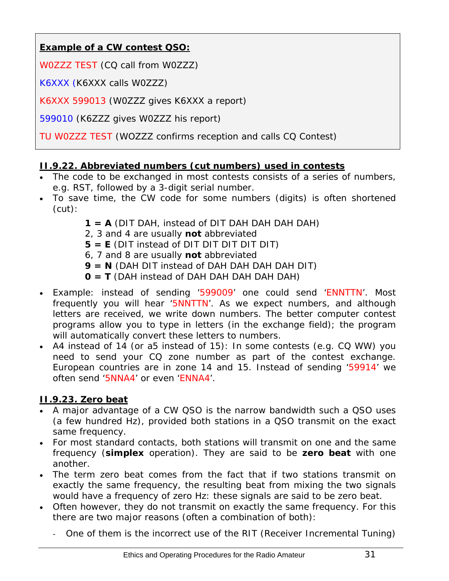# <span id="page-30-0"></span>**Example of a CW contest QSO:**

W0ZZZ TEST (CQ call from W0ZZZ)

K6XXX (K6XXX calls W0ZZZ)

K6XXX 599013 (W0ZZZ gives K6XXX a report)

599010 (K6ZZZ gives W0ZZZ his report)

TU W0ZZZ TEST (WOZZZ confirms reception and calls CQ Contest)

# <span id="page-30-1"></span>**II.9.22. Abbreviated numbers (cut numbers) used in contests**

- The code to be exchanged in most contests consists of a series of numbers, e.g. RST, followed by a 3-digit serial number.
- To save time, the CW code for some numbers (digits) is often shortened (cut):
	- **1 = A** (DIT DAH, instead of DIT DAH DAH DAH DAH)
	- 2, 3 and 4 are usually **not** abbreviated
	- **5 = E** (DIT instead of DIT DIT DIT DIT DIT)
	- 6, 7 and 8 are usually **not** abbreviated
	- **9 = N** (DAH DIT instead of DAH DAH DAH DAH DIT)
	- **0 = T** (DAH instead of DAH DAH DAH DAH DAH)
- Example: instead of sending '599009' one could send 'ENNTTN'. Most frequently you will hear '5NNTTN'. As we expect numbers, and although letters are received, we write down numbers. The better computer contest programs allow you to type in letters (in the exchange field); the program will automatically convert these letters to numbers.
- A4 instead of 14 (or a5 instead of 15): In some contests (e.g. CQ WW) you need to send your CQ zone number as part of the contest exchange. European countries are in zone 14 and 15. Instead of sending '59914' we often send '5NNA4' or even 'ENNA4'.

# <span id="page-30-2"></span>**II.9.23. Zero beat**

- A major advantage of a CW QSO is the narrow bandwidth such a QSO uses (a few hundred Hz), provided both stations in a QSO transmit on the exact same frequency.
- For most standard contacts, both stations will transmit on one and the same frequency (**simplex** operation). They are said to be *zero beat* with one another.
- The term *zero beat* comes from the fact that if two stations transmit on exactly the same frequency, the resulting beat from mixing the two signals would have a frequency of zero Hz: these signals are said to be *zero beat*.
- Often however, they do not transmit on exactly the same frequency. For this there are two major reasons (often a combination of both):
	- One of them is the incorrect use of the RIT (Receiver Incremental Tuning)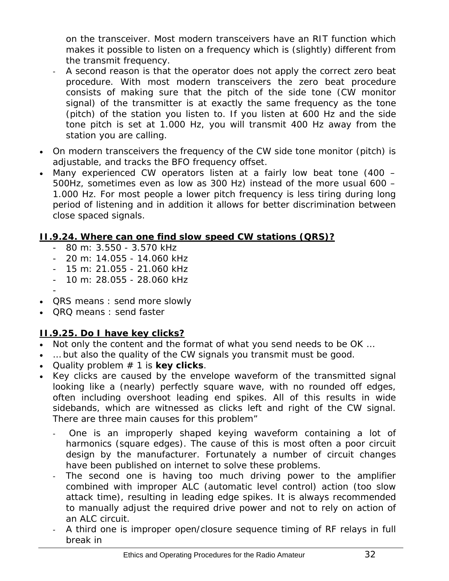<span id="page-31-0"></span>on the transceiver. Most modern transceivers have an RIT function which makes it possible to listen on a frequency which is (slightly) different from the transmit frequency.

- A second reason is that the operator does not apply the correct zero beat procedure. With most modern transceivers the zero beat procedure consists of making sure that the pitch of the side tone (CW monitor signal) of the transmitter is at exactly the same frequency as the tone (pitch) of the station you listen to. If you listen at 600 Hz and the side tone pitch is set at 1.000 Hz, you will transmit 400 Hz away from the station you are calling.
- On modern transceivers the frequency of the CW side tone monitor (pitch) is adjustable, and tracks the BFO frequency offset.
- Many experienced CW operators listen at a fairly low beat tone (400 500Hz, sometimes even as low as 300 Hz) instead of the more usual 600 – 1.000 Hz. For most people a lower pitch frequency is less tiring during long period of listening and in addition it allows for better discrimination between close spaced signals.

#### <span id="page-31-1"></span>**II.9.24. Where can one find slow speed CW stations (QRS)?**

- 80 m: 3.550 3.570 kHz
- 20 m: 14.055 14.060 kHz
- 15 m: 21.055 21.060 kHz
- 10 m: 28.055 28.060 kHz
- • *QRS* means : send more slowly
- *QRQ* means : send faster

# <span id="page-31-2"></span>**II.9.25. Do I have key clicks?**

- Not only the content and the format of what you send needs to be OK ...
- ... but also the quality of the CW signals you transmit must be good.
- Quality problem # 1 is **key clicks**.
- Key clicks are caused by the envelope waveform of the transmitted signal looking like a (nearly) perfectly square wave, with no rounded off edges, often including overshoot leading end spikes. All of this results in wide sidebands, which are witnessed as *clicks* left and right of the CW signal. There are three main causes for this problem"
	- One is an improperly shaped keying waveform containing a lot of harmonics (square edges). The cause of this is most often a poor circuit design by the manufacturer. Fortunately a number of circuit changes have been published on internet to solve these problems.
	- The second one is having too much driving power to the amplifier combined with improper ALC (*automatic level control*) action (too slow attack time), resulting in leading edge spikes. It is always recommended to manually adjust the required drive power and not to rely on action of an ALC circuit.
	- A third one is improper open/closure sequence timing of RF relays in full break in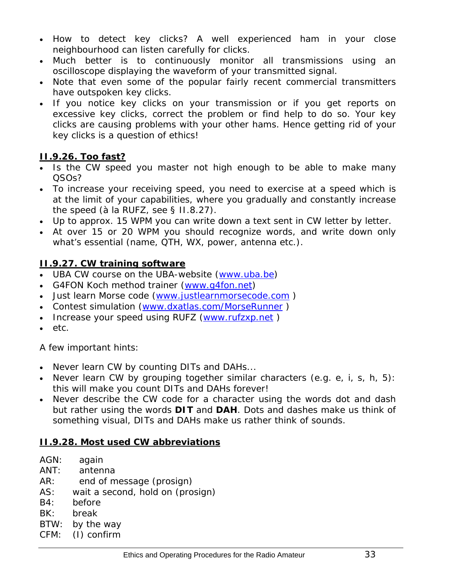- <span id="page-32-0"></span>• How to detect key clicks? A well experienced ham in your close neighbourhood can listen carefully for clicks.
- Much better is to continuously monitor all transmissions using an oscilloscope displaying the waveform of your transmitted signal.
- Note that even some of the popular fairly recent commercial transmitters have outspoken key clicks.
- If you notice key clicks on your transmission or if you get reports on excessive key clicks, correct the problem or find help to do so. Your key clicks are causing problems with your other hams. Hence getting rid of your key clicks is a question of *ethics*!

# <span id="page-32-1"></span>**II.9.26. Too fast?**

- Is the CW speed you master not high enough to be able to make many QSOs?
- To increase your receiving speed, you need to exercise at a speed which is at the limit of your capabilities, where you gradually and constantly increase the speed (à la RUFZ, see § II.8.27).
- Up to approx. 15 WPM you can write down a text sent in CW letter by letter.
- At over 15 or 20 WPM you should recognize words, and write down only what's essential (name, QTH, WX, power, antenna etc.).

# <span id="page-32-2"></span>**II.9.27. CW training software**

- UBA CW course on the UBA-website ([www.uba.be\)](http://www.uba.be/)
- G4FON Koch method trainer [\(www.g4fon.net\)](http://www.g4fon.net/)
- Just learn Morse code ([www.justlearnmorsecode.com](http://www.justlearnmorsecode.com/) )
- Contest simulation [\(www.dxatlas.com/MorseRunner](http://www.dxatlas.com/MorseRunner) )
- Increase your speed using RUFZ (www.rufzxp.net)
- etc.

A few important hints:

- Never learn CW by counting *DITs* and *DAHs*...
- Never learn CW by grouping together similar characters (e.g. e, i, s, h, 5): this will make you count *DITs* and *DAHs* forever!
- Never describe the CW code for a character using the words *dot* and *dash* but rather using the words *DIT* and *DAH*. *Dots* and *dashes* make us think of something visual, *DITs* and *DAHs* make us rather think of sounds.

#### <span id="page-32-3"></span>**II.9.28. Most used CW abbreviations**

- AGN: again
- ANT: antenna
- AR: end of message (prosign)
- AS: wait a second, hold on (prosign)
- B4: before
- BK: break
- BTW: by the way
- CFM: (I) confirm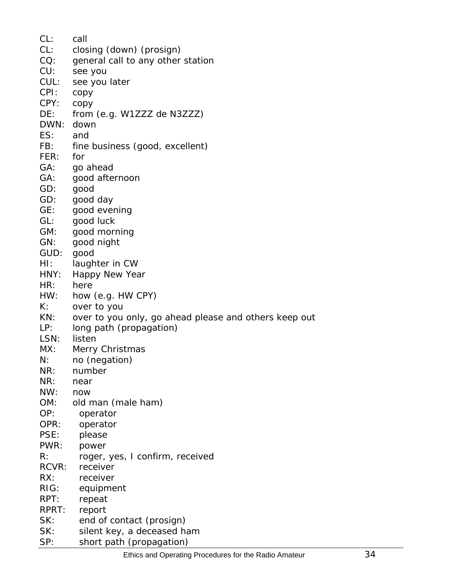| CL:   | call                                                  |
|-------|-------------------------------------------------------|
| CL:   | closing (down) (prosign)                              |
| CO:   | general call to any other station                     |
| CU:   | see you                                               |
| CUL:  | see you later                                         |
| CPI:  |                                                       |
| CPY:  | copy                                                  |
|       | copy                                                  |
| DE:   | from (e.g. W1ZZZ de N3ZZZ)                            |
| DWN:  | down                                                  |
| ES:   | and                                                   |
| FB:   | fine business (good, excellent)                       |
| FER:  | for                                                   |
| GA:   | go ahead                                              |
| GA:   | good afternoon                                        |
| GD:   | good                                                  |
| GD:   | good day                                              |
| GE:   | good evening                                          |
| GL:   | good luck                                             |
| GM:   | good morning                                          |
| GN:   | good night                                            |
| GUD:  | good                                                  |
| HI:   | laughter in CW                                        |
| HNY:  | Happy New Year                                        |
| HR:   | here                                                  |
| HW:   | how (e.g. HW CPY)                                     |
| K:    | over to you                                           |
| KN:   | over to you only, go ahead please and others keep out |
| LP:   | long path (propagation)                               |
| LSN:  | listen                                                |
| MX:   |                                                       |
|       | Merry Christmas                                       |
| N:    | no (negation)                                         |
| NR:   | number                                                |
| NR:   | near                                                  |
| NW:   | now                                                   |
| OM:   | old man (male ham)                                    |
| OP:   | operator                                              |
| OPR:  | operator                                              |
| PSE:  | please                                                |
| PWR:  | power                                                 |
| R:    | roger, yes, I confirm, received                       |
| RCVR: | receiver                                              |
| RX:   | receiver                                              |
| RIG:  | equipment                                             |
| RPT:  | repeat                                                |
| RPRT: | report                                                |
| SK:   | end of contact (prosign)                              |
| SK:   | silent key, a deceased ham                            |
| SP:   | short path (propagation)                              |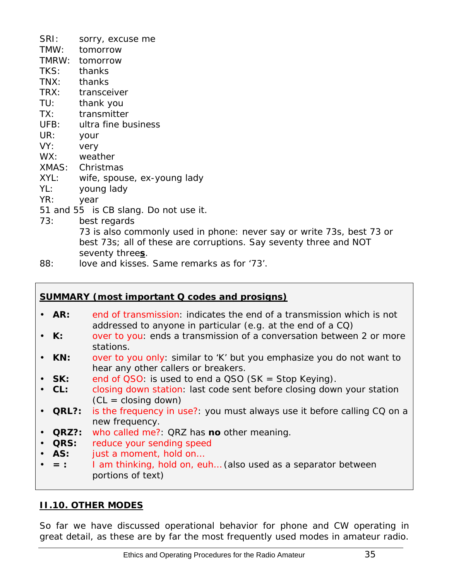<span id="page-34-0"></span>

| SRI:  | sorry, excuse me                                                                 |
|-------|----------------------------------------------------------------------------------|
| TMW:  | tomorrow                                                                         |
| TMRW: | tomorrow                                                                         |
| TKS:  | thanks                                                                           |
| TNX:  | thanks                                                                           |
| TRX:  | transceiver                                                                      |
| TU:   | thank you                                                                        |
| TX:   | transmitter                                                                      |
| UFB:  | ultra fine business                                                              |
| UR:   | your                                                                             |
| YY:   | very                                                                             |
| WX:   | weather                                                                          |
|       | XMAS: Christmas                                                                  |
| XYL:  | wife, spouse, ex-young lady                                                      |
| YL:   | young lady                                                                       |
| YR:   | year                                                                             |
|       | 51 and 55 is CB slang. Do not use it.                                            |
| 73:   | best regards                                                                     |
|       | 73 is also commonly used in phone: never say or write 73s, best 73 or            |
|       | <i>best 73s</i> ; all of these are corruptions. Say <i>seventy three</i> and NOT |
|       | seventy threes.                                                                  |
| QQ.   | love and kisses. Same remarks as for '73'                                        |

88: love and kisses. Same remarks

#### **SUMMARY (most important Q codes and prosigns)**

- **AR:** *end of transmission*: indicates the end of a transmission which is not addressed to anyone in particular (e.g. at the end of a CQ)
- **K:** *over to you*: ends a transmission of a conversation between 2 or more stations.
- **KN:** *over to you only*: similar to 'K' but you emphasize you do not want to hear any other callers or breakers.
- **SK:** *end of QSO*: is used to end a QSO (SK = Stop Keying).
- **CL:** *closing down station*: last code sent before closing down your station  $(CL = closing down)$
- **QRL?:** *is the frequency in use?*: you must always use it before calling CQ on a new frequency.
- **QRZ?:** *who called me?*: QRZ has **no** other meaning.
- **QRS:** *reduce your sending speed*
- **AS:** *just a moment, hold on…*
- **= :** *I am thinking, hold on, euh…* (also used as a separator between portions of text)

#### <span id="page-34-1"></span>**II.10. OTHER MODES**

So far we have discussed operational behavior for phone and CW operating in great detail, as these are by far the most frequently used modes in amateur radio.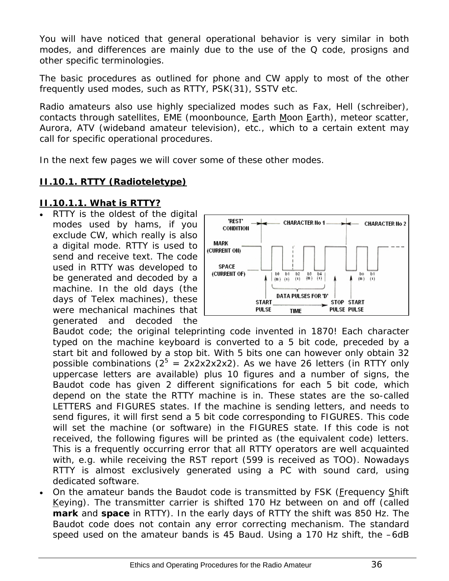<span id="page-35-0"></span>You will have noticed that general operational behavior is very similar in both modes, and differences are mainly due to the use of the Q code, prosigns and other specific terminologies.

The basic procedures as outlined for phone and CW apply to most of the other frequently used modes, such as RTTY, PSK(31), SSTV etc.

Radio amateurs also use highly specialized modes such as Fax, Hell (schreiber), contacts through satellites, EME (moonbounce, Earth Moon Earth), meteor scatter, Aurora, ATV (wideband amateur television), etc., which to a certain extent may call for specific operational procedures.

In the next few pages we will cover some of these *other* modes.

# <span id="page-35-1"></span>**II.10.1. RTTY (Radioteletype)**

#### **II.10.1.1. What is RTTY?**

RTTY is the oldest of the digital modes used by hams, if you exclude CW, which really is also a digital mode. RTTY is used to send and receive text. The code used in RTTY was developed to be generated and decoded by a machine. In the old days (the days of *Telex* machines), these were mechanical machines that generated and decoded the



*Baudot* code; the original teleprinting code invented in 1870! Each character typed on the machine keyboard is converted to a 5 bit code, preceded by a start bit and followed by a stop bit. With 5 bits one can however only obtain 32 possible combinations  $(2^5 = 2x2x2x2x2)$ . As we have 26 letters (in RTTY only uppercase letters are available) plus 10 figures and a number of signs, the Baudot code has given 2 different significations for each 5 bit code, which depend on the state the RTTY machine is in. These states are the so-called *LETTERS* and *FIGURES* states. If the machine is sending letters, and needs to send figures, it will first send a 5 bit code corresponding to *FIGURES*. This code will set the machine (or software) in the *FIGURES* state. If this code is not received, the following figures will be printed as (the equivalent code) letters. This is a frequently occurring error that all RTTY operators are well acquainted with, e.g. while receiving the RST report (*599* is received as *TOO*). Nowadays RTTY is almost exclusively generated using a PC with sound card, using dedicated software.

On the amateur bands the Baudot code is transmitted by FSK (Frequency Shift Keying). The transmitter carrier is shifted 170 Hz between on and off (called **mark** and **space** in RTTY). In the early days of RTTY the shift was 850 Hz. The Baudot code does not contain any error correcting mechanism. The standard speed used on the amateur bands is 45 Baud. Using a 170 Hz shift, the –6dB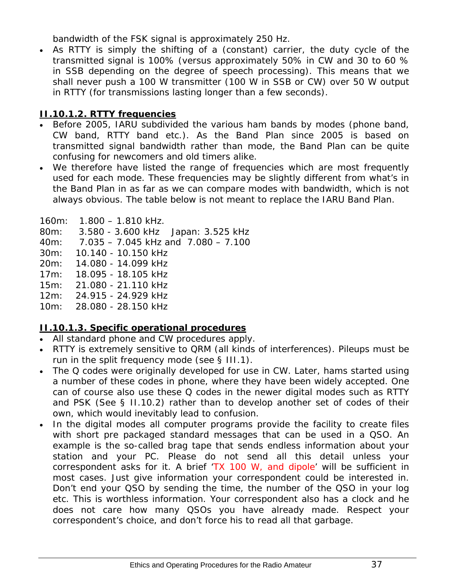bandwidth of the FSK signal is approximately 250 Hz.

• As RTTY is simply the shifting of a (constant) carrier, the *duty cycle* of the transmitted signal is 100% (versus approximately 50% in CW and 30 to 60 % in SSB depending on the degree of speech processing). This means that we shall never push a 100 W transmitter (100 W in SSB or CW) over 50 W output in RTTY (for transmissions lasting longer than a few seconds).

# **II.10.1.2. RTTY frequencies**

- Before 2005, IARU subdivided the various ham bands *by modes* (phone band, CW band, RTTY band etc.). As the Band Plan since 2005 is based on *transmitted signal bandwidth* rather than mode, the Band Plan can be quite confusing for newcomers and old timers alike.
- We therefore have listed the range of frequencies which are most frequently used for each mode. These frequencies may be slightly different from what's in the Band Plan in as far as we can compare modes with bandwidth, which is not always obvious. The table below is not meant to replace the IARU Band Plan.

160m: 1.800 – 1.810 kHz. 80m: 3.580 - 3.600 kHz Japan: 3.525 kHz 40m: 7.035 – 7.045 kHz and 7.080 – 7.100 30m: 10.140 - 10.150 kHz 20m: 14.080 - 14.099 kHz 17m: 18.095 - 18.105 kHz 15m: 21.080 - 21.110 kHz 12m: 24.915 - 24.929 kHz 10m: 28.080 - 28.150 kHz

# **II.10.1.3. Specific operational procedures**

- All standard phone and CW procedures apply.
- RTTY is extremely sensitive to QRM (all kinds of interferences). Pileups must be run in the split frequency mode (see § III.1).
- The Q codes were originally developed for use in CW. Later, hams started using a number of these codes in phone, where they have been widely accepted. One can of course also use these Q codes in the newer digital modes such as RTTY and PSK (See § II.10.2) rather than to develop another set of codes of their own, which would inevitably lead to confusion.
- In the digital modes all computer programs provide the facility to create files with short pre packaged *standard* messages that can be used in a QSO. An example is the so-called *brag tape* that sends endless information about your station and your PC. Please do not send all this detail unless your correspondent asks for it. A brief 'TX 100 W, and dipole' will be sufficient in most cases. Just give information your correspondent could be interested in. Don't end your QSO by sending the time, the number of the QSO in your log etc. This is worthless information. Your correspondent also has a clock and he does not care how many QSOs you have already made. Respect your correspondent's choice, and don't force his to read all that garbage.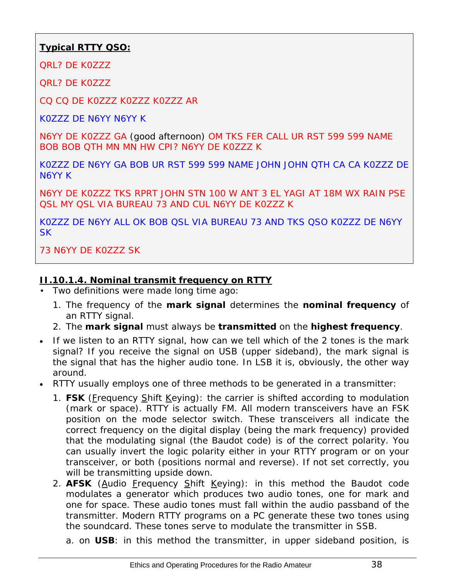# **Typical RTTY QSO:**

QRL? DE K0ZZZ

QRL? DE K0ZZZ

CQ CQ DE K0ZZZ K0ZZZ K0ZZZ AR

K0ZZZ DE N6YY N6YY K

N6YY DE K0ZZZ GA (good afternoon) OM TKS FER CALL UR RST 599 599 NAME BOB BOB OTH MN MN HW CPI? N6YY DE K0777 K

K0ZZZ DE N6YY GA BOB UR RST 599 599 NAME JOHN JOHN QTH CA CA K0ZZZ DE N6YY K

N6YY DE K0ZZZ TKS RPRT JOHN STN 100 W ANT 3 EL YAGI AT 18M WX RAIN PSE QSL MY QSL VIA BUREAU 73 AND CUL N6YY DE K0ZZZ K

K0ZZZ DE N6YY ALL OK BOB QSL VIA BUREAU 73 AND TKS QSO K0ZZZ DE N6YY SK

73 N6YY DE K0ZZZ SK

#### **II.10.1.4. Nominal transmit frequency on RTTY**

- Two definitions were made long time ago:
	- 1. The frequency of the **mark signal** determines the **nominal frequency** of an RTTY signal.
	- 2. The **mark signal** must always be **transmitted** on the **highest frequency**.
- If we listen to an RTTY signal, how can we tell which of the 2 tones is the mark signal? If you receive the signal on USB (upper sideband), the mark signal is the signal that has the higher audio tone. In LSB it is, obviously, the other way around.
- RTTY usually employs one of three methods to be generated in a transmitter:
	- 1. FSK (Frequency Shift Keying): the carrier is shifted according to modulation (mark or space). RTTY is actually FM. All modern transceivers have an FSK position on the mode selector switch. These transceivers all indicate the correct frequency on the digital display (being the mark frequency) provided that the modulating signal (the Baudot code) is of the correct polarity. You can usually invert the logic polarity either in your RTTY program or on your transceiver, or both (positions *normal* and *reverse*). If not set correctly, you will be transmitting *upside down.*
	- 2. **AFSK** (Audio Frequency Shift Keying): in this method the Baudot code modulates a generator which produces two audio tones, one for mark and one for space. These audio tones must fall within the audio passband of the transmitter. Modern RTTY programs on a PC generate these two tones using the soundcard. These tones serve to modulate the transmitter in SSB.

a. on **USB**: in this method the transmitter, in upper sideband position, is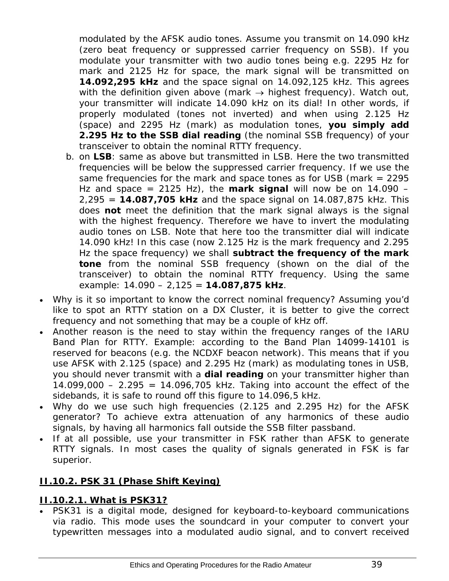<span id="page-38-0"></span>modulated by the AFSK audio tones. Assume you transmit on 14.090 kHz (zero beat frequency or suppressed carrier frequency on SSB). If you modulate your transmitter with two audio tones being e.g. 2295 Hz for mark and 2125 Hz for space, the mark signal will be transmitted on **14.092,295 kHz** and the space signal on 14.092,125 kHz. This agrees with the definition given above (mark  $\rightarrow$  highest frequency). Watch out, your transmitter will indicate 14.090 kHz on its dial! In other words, if properly modulated (tones not inverted) and when using 2.125 Hz (space) and 2295 Hz (mark) as modulation tones, **you simply add 2.295 Hz to the SSB dial reading** (the nominal SSB frequency) of your transceiver to obtain the nominal RTTY frequency.

- b. on **LSB**: same as above but transmitted in LSB. Here the two transmitted frequencies will be below the suppressed carrier frequency. If we use the same frequencies for the mark and space tones as for USB (mark = 2295 Hz and space = 2125 Hz), the **mark signal** will now be on 14.090 – 2,295 = **14.087,705 kHz** and the space signal on 14.087,875 kHz. This does **not** meet the definition that the mark signal always is the signal with the highest frequency. Therefore we have to invert the modulating audio tones on LSB. Note that here too the transmitter dial will indicate 14.090 kHz! In this case (now 2.125 Hz is the mark frequency and 2.295 Hz the space frequency) we shall **subtract the frequency of the mark tone** from the nominal SSB frequency (shown on the dial of the transceiver) to obtain the nominal RTTY frequency. Using the same example: 14.090 – 2,125 = **14.087,875 kHz**.
- Why is it so important to know the correct nominal frequency? Assuming you'd like to spot an RTTY station on a DX Cluster, it is better to give the correct frequency and not something that may be a couple of kHz off.
- Another reason is the need to stay within the frequency ranges of the IARU Band Plan for RTTY. Example: according to the Band Plan 14099-14101 is reserved for beacons (e.g. the NCDXF beacon network). This means that if you use AFSK with 2.125 (space) and 2.295 Hz (mark) as modulating tones in USB, you should never transmit with a **dial reading** on your transmitter higher than  $14.099,000 - 2.295 = 14.096,705$  kHz. Taking into account the effect of the sidebands, it is safe to round off this figure to 14.096,5 kHz.
- Why do we use such high frequencies (2.125 and 2.295 Hz) for the AFSK generator? To achieve extra attenuation of any harmonics of these audio signals, by having all harmonics fall outside the SSB filter passband.
- If at all possible, use your transmitter in FSK rather than AFSK to generate RTTY signals. In most cases the quality of signals generated in FSK is far superior.

#### <span id="page-38-1"></span>**II.10.2. PSK 31 (Phase Shift Keying)**

#### **II.10.2.1. What is PSK31?**

• PSK31 is a digital mode, designed for keyboard-to-keyboard communications via radio. This mode uses the soundcard in your computer to convert your typewritten messages into a modulated audio signal, and to convert received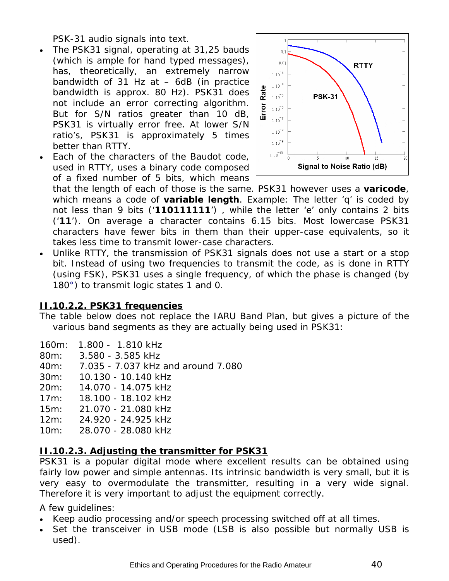PSK-31 audio signals into text.

- The PSK31 signal, operating at 31,25 bauds (which is ample for hand typed messages), has, theoretically, an extremely narrow bandwidth of 31 Hz at – 6dB (in practice bandwidth is approx. 80 Hz). PSK31 does not include an error correcting algorithm. But for S/N ratios greater than 10 dB, PSK31 is virtually error free. At lower S/N ratio's, PSK31 is approximately 5 times better than RTTY.
- Each of the characters of the Baudot code, used in RTTY, uses a binary code composed of a fixed number of 5 bits, which means



that the length of each of those is the same. PSK31 however uses a *varicode*, which means a code of **variable length**. Example: The letter 'q' is coded by not less than 9 bits ('**110111111**') , while the letter 'e' only contains 2 bits ('**11**'). On average a character contains 6.15 bits. Most lowercase PSK31 characters have fewer bits in them than their upper-case equivalents, so it takes less time to transmit lower-case characters.

• Unlike RTTY, the transmission of PSK31 signals does not use a start or a stop bit. Instead of using two frequencies to transmit the code, as is done in RTTY (using FSK), PSK31 uses a single frequency, of which the phase is changed (by 180°) to transmit logic states 1 and 0.

#### **II.10.2.2. PSK31 frequencies**

The table below does not replace the IARU Band Plan, but gives a picture of the various band segments as they are actually being used in PSK31:

| $160m$ :<br>$1.800 -$ | 1.810 kHz |
|-----------------------|-----------|
|-----------------------|-----------|

- 80m: 3.580 3.585 kHz
- 40m: 7.035 7.037 kHz and around 7.080
- 30m: 10.130 10.140 kHz
- 20m: 14.070 14.075 kHz
- 17m: 18.100 18.102 kHz
- 15m: 21.070 21.080 kHz
- 12m: 24.920 24.925 kHz
- 10m: 28.070 28.080 kHz

#### **II.10.2.3. Adjusting the transmitter for PSK31**

PSK31 is a popular digital mode where excellent results can be obtained using fairly low power and simple antennas. Its intrinsic bandwidth is very small, but it is very easy to overmodulate the transmitter, resulting in a very wide signal. Therefore it is very important to adjust the equipment correctly.

A few guidelines:

- Keep audio processing and/or speech processing switched off *at all times*.
- Set the transceiver in USB mode (LSB is also possible but normally USB is used).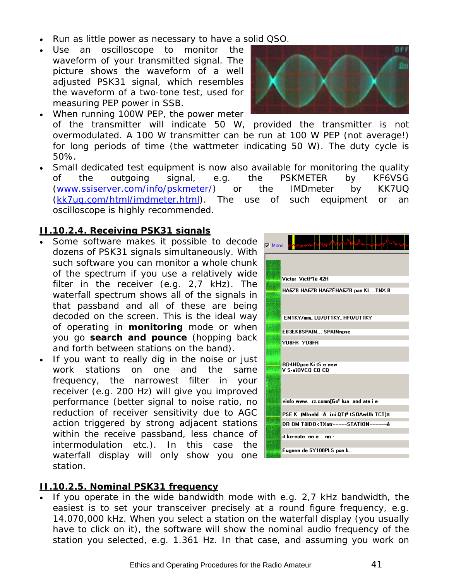- Run as little power as necessary to have a solid QSO.
- Use an oscilloscope to monitor the waveform of your transmitted signal. The picture shows the waveform of a well adjusted PSK31 signal, which resembles the waveform of a two-tone test, used for measuring PEP power in SSB.
- When running 100W PEP, the power meter of the transmitter will indicate 50 W, provided the transmitter is not overmodulated. A 100 W transmitter can be run at 100 W PEP (not average!) for long periods of time (the wattmeter indicating 50 W). The *duty cycle* is 50%.
- Small dedicated test equipment is now also available for monitoring the quality of the outgoing signal, e.g. the PSKMETER by KF6VSG [\(www.ssiserver.com/info/pskmeter/\)](http://www.ssiserver.com/info/pskmeter/) or the IMDmeter by KK7UQ [\(kk7uq.com/html/imdmeter.html](http://kk7uq.com/html/imdmeter.html)). The use of such equipment or an oscilloscope is highly recommended.

#### **II.10.2.4. Receiving PSK31 signals**

- Some software makes it possible to decode dozens of PSK31 signals simultaneously. With such software you can monitor a whole chunk of the spectrum if you use a relatively wide filter in the receiver (e.g. 2,7 kHz). The waterfall spectrum shows all of the signals in that passband and all of these are being decoded on the screen. This is the ideal way of operating in **monitoring** mode or when you go *search and pounce* (hopping back and forth between stations on the band).
- If you want to really dig in the noise or just work stations on one and the same frequency, the narrowest filter in your receiver (e.g. 200 Hz) will give you improved performance (better signal to noise ratio, no reduction of receiver sensitivity due to AGC action triggered by strong adjacent stations within the receive passband, less chance of intermodulation etc.). In this case the waterfall display will only show you one station.



#### **II.10.2.5. Nominal PSK31 frequency**

• If you operate in the wide bandwidth mode with e.g. 2,7 kHz bandwidth, the easiest is to set your transceiver precisely at a *round figure* frequency, e.g. 14.070,000 kHz. When you select a station on the waterfall display (you usually have to click on it), the software will show the nominal audio frequency of the station you selected, e.g. 1.361 Hz. In that case, and assuming you work on

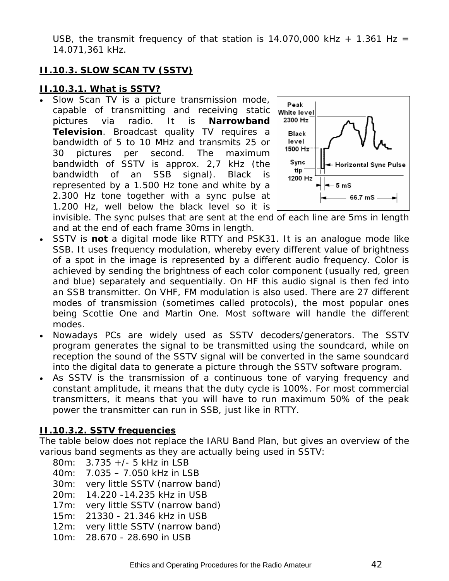<span id="page-41-0"></span>USB, the transmit frequency of that station is 14.070,000 kHz + 1.361 Hz = 14.071,361 kHz.

## <span id="page-41-1"></span>**II.10.3. SLOW SCAN TV (SSTV)**

#### **II.10.3.1. What is SSTV?**

Slow Scan TV is a picture transmission mode, capable of transmitting and receiving static pictures via radio. It is **Narrowband Television**. Broadcast quality TV requires a bandwidth of 5 to 10 MHz and transmits 25 or 30 pictures per second. The maximum bandwidth of SSTV is approx. 2,7 kHz (the bandwidth of an SSB signal). Black is represented by a 1.500 Hz tone and white by a 2.300 Hz tone together with a sync pulse at 1.200 Hz, well below the black level so it is



invisible. The sync pulses that are sent at the end of each line are 5ms in length and at the end of each frame 30ms in length.

- SSTV is **not** a digital mode like RTTY and PSK31. It is an analogue mode like SSB. It uses frequency modulation, whereby every different value of brightness of a spot in the image is represented by a different audio frequency. Color is achieved by sending the brightness of each color component (usually red, green and blue) separately and sequentially. On HF this audio signal is then fed into an SSB transmitter. On VHF, FM modulation is also used. There are 27 different modes of transmission (sometimes called *protocols*), the most popular ones being Scottie One and Martin One. Most software will handle the different modes.
- Nowadays PCs are widely used as SSTV decoders/generators. The SSTV program generates the signal to be transmitted using the soundcard, while on reception the sound of the SSTV signal will be converted in the same soundcard into the digital data to generate a picture through the SSTV software program.
- As SSTV is the transmission of a continuous tone of varying frequency and constant amplitude, it means that the *duty cycle* is 100%. For most commercial transmitters, it means that you will have to run maximum 50% of the peak power the transmitter can run in SSB, just like in RTTY.

#### **II.10.3.2. SSTV frequencies**

The table below does not replace the IARU Band Plan, but gives an overview of the various band segments as they are actually being used in SSTV:

80m: 3.735 +/- 5 kHz in LSB 40m: 7.035 – 7.050 kHz in LSB 30m: very little SSTV (narrow band) 20m: 14.220 -14.235 kHz in USB 17m: very little SSTV (narrow band) 15m: 21330 - 21.346 kHz in USB 12m: very little SSTV (narrow band) 10m: 28.670 - 28.690 in USB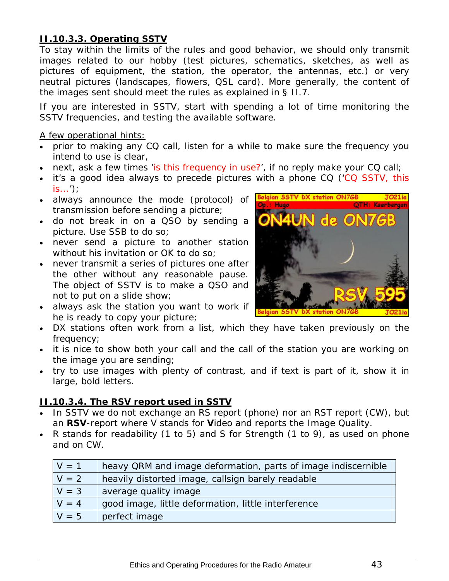# **II.10.3.3. Operating SSTV**

To stay within the limits of the rules and good behavior, we should only transmit images related to our hobby (test pictures, schematics, sketches, as well as pictures of equipment, the station, the operator, the antennas, etc.) or very neutral pictures (landscapes, flowers, QSL card). More generally, the content of the images sent should meet the rules as explained in § II.7.

If you are interested in SSTV, start with spending a lot of time monitoring the SSTV frequencies, and testing the available software.

#### A few operational hints:

- prior to making any CQ call, listen for a while to make sure the frequency you intend to use is clear,
- next, ask a few times 'is this frequency in use?', if no reply make your CQ call;
- it's a good idea always to precede pictures with a phone CQ ('CQ SSTV, this  $is...')$ ; Belgian SSTV DX station ON7GB
- always announce the mode (protocol) of transmission before sending a picture;
- do not break in on a QSO by sending a picture. Use SSB to do so;
- never send a picture to another station without his invitation or OK to do so;
- never transmit a series of pictures one after the other without any reasonable pause. The object of SSTV is to make a QSO and not to put on a slide show;
- always ask the station you want to work if he is ready to copy your picture;



Keerbergen

- DX stations often work from a list, which they have taken previously on the frequency;
- it is nice to show both your call and the call of the station you are working on the image you are sending;
- try to use images with plenty of contrast, and if text is part of it, show it in large, bold letters.

#### **II.10.3.4. The RSV report used in SSTV**

- In SSTV we do not exchange an RS report (phone) nor an RST report (CW), but an **RSV**-report where V stands for **V**ideo and reports the Image Quality.
- R stands for readability (1 to 5) and S for Strength (1 to 9), as used on phone and on CW.

| $V = 1$ | heavy QRM and image deformation, parts of image indiscernible |
|---------|---------------------------------------------------------------|
| $V = 2$ | heavily distorted image, callsign barely readable             |
| $V = 3$ | average quality image                                         |
| $V = 4$ | good image, little deformation, little interference           |
| $V = 5$ | perfect image                                                 |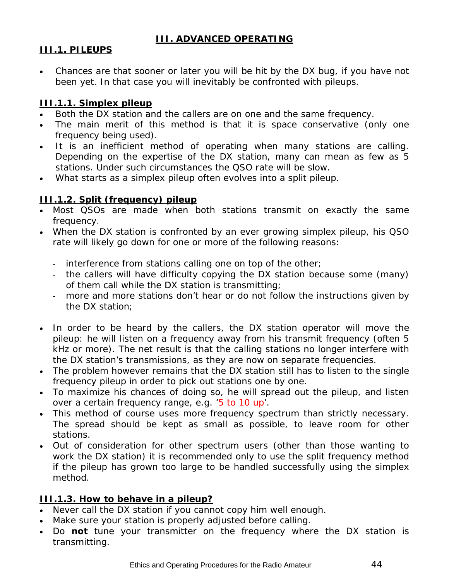# *III. ADVANCED OPERATING*

# <span id="page-43-2"></span><span id="page-43-1"></span><span id="page-43-0"></span>**III.1. PILEUPS**

• Chances are that sooner or later you will be hit by the DX bug, if you have not been yet. In that case you will inevitably be confronted with pileups.

## <span id="page-43-3"></span>**III.1.1. Simplex pileup**

- Both the DX station and the callers are on one and the same frequency.
- The main merit of this method is that it is space conservative (only one frequency being used).
- It is an inefficient method of operating when *many* stations are calling. Depending on the expertise of the DX station, *many* can mean as few as 5 stations. Under such circumstances the QSO rate will be slow.
- What starts as a simplex pileup often evolves into a split pileup.

# <span id="page-43-4"></span>**III.1.2. Split (frequency) pileup**

- Most QSOs are made when both stations transmit on exactly the same frequency.
- When the DX station is confronted by an ever growing simplex pileup, his QSO rate will likely go down for one or more of the following reasons:
	- interference from stations calling one on top of the other;
	- the callers will have difficulty copying the DX station because some (many) of them call while the DX station is transmitting;
	- more and more stations don't hear or do not follow the instructions given by the DX station;
- In order to be heard by the callers, the DX station operator will move the pileup: he will listen on a frequency away from his transmit frequency (often 5 kHz or more). The net result is that the calling stations no longer interfere with the DX station's transmissions, as they are now on separate frequencies.
- The problem however remains that the DX station still has to listen to the *single frequency* pileup in order to pick out stations one by one.
- To maximize his chances of doing so, he will spread out the pileup, and listen over a certain frequency range, e.g. '5 to 10 up'.
- This method of course uses more frequency spectrum than strictly necessary. The spread should be kept as small as possible, to leave room for other stations.
- Out of consideration for other spectrum users (other than those wanting to work the DX station) it is recommended only to use the split frequency method if the pileup has grown too large to be handled successfully using the *simplex* method.

# <span id="page-43-5"></span>**III.1.3. How to behave in a pileup?**

- Never call the DX station if you cannot copy him well enough.
- Make sure your station is properly adjusted before calling.
- Do **not** tune your transmitter on the frequency where the DX station is transmitting.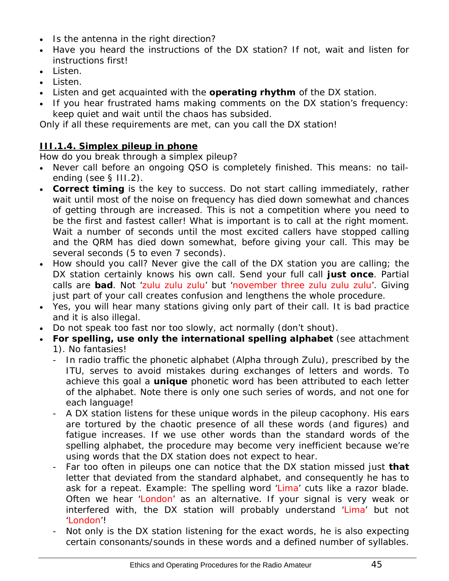- <span id="page-44-0"></span>• Is the antenna in the right direction?
- Have you heard the instructions of the DX station? If not, wait and listen for instructions first!
- Listen.
- Listen.
- Listen and get acquainted with the **operating rhythm** of the DX station.
- If you hear frustrated hams making comments on the DX station's frequency: keep quiet and wait until the chaos has subsided.

Only if all these requirements are met, can you call the DX station!

# <span id="page-44-1"></span>**III.1.4. Simplex pileup in phone**

How do you *break* through a simplex pileup?

- Never call before an ongoing QSO is completely finished. This means: no tailending (see § III.2).
- **Correct timing** is the *key to success*. Do not start calling immediately, rather wait until most of the noise on frequency has died down somewhat and chances of getting through are increased. This is not a competition where you need to be the first and fastest caller! What is important is to call at the right moment. Wait a number of seconds until the most excited callers have stopped calling and the QRM has died down somewhat, before giving your call. This may be several seconds (5 to even 7 seconds).
- How should you call? Never give the call of the DX station you are calling; the DX station certainly knows his own call. Send your full call **just once**. Partial calls are **bad**. Not 'zulu zulu zulu' but 'november three zulu zulu zulu'. Giving just part of your call creates confusion and lengthens the whole procedure.
- Yes, you will hear many stations giving only part of their call. It is bad practice and it is also illegal.
- Do not speak too fast nor too slowly, act normally (don't shout).
- **For spelling, use only the international spelling alphabet** (see attachment 1). No fantasies!
	- In radio traffic the phonetic alphabet (Alpha through Zulu), prescribed by the ITU, serves to avoid mistakes during exchanges of letters and words. To achieve this goal a **unique** phonetic word has been attributed to each letter of the alphabet. Note there is only one such series of words, and not one for each language!
	- A DX station listens for these unique words in the pileup cacophony. His ears are tortured by the chaotic presence of all these words (and figures) and fatigue increases. If we use other words than the standard words of the spelling alphabet, the procedure may become very inefficient because we're using words that the DX station does not expect to hear.
	- Far too often in pileups one can notice that the DX station missed just **that** letter that deviated from the standard alphabet, and consequently he has to ask for a repeat. Example: The spelling word 'Lima' cuts like a razor blade. Often we hear 'London' as an alternative. If your signal is very weak or interfered with, the DX station will probably understand 'Lima' but not 'London'!
	- Not only is the DX station listening for the exact words, he is also expecting certain consonants/sounds in these words and a defined number of syllables.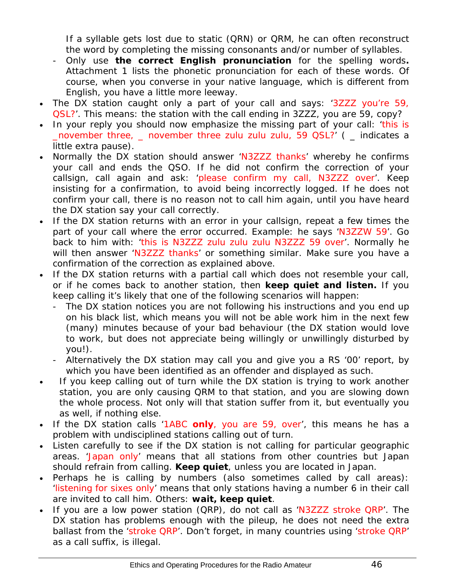If a syllable gets lost due to static (QRN) or QRM, he can often reconstruct the word by completing the missing consonants and/or number of syllables.

- Only use **the correct English pronunciation** for the spelling words**.**  Attachment 1 lists the phonetic pronunciation for each of these words. Of course, when you converse in your native language, which is different from English, you have a little more leeway.
- The DX station caught only a part of your call and says: '3ZZZ you're 59, QSL?'. This means: *the station with the call ending in 3ZZZ, you are 59, copy?*
- In your reply you should now emphasize the missing part of your call: 'this is \_november three, \_ november three zulu zulu zulu, 59 QSL?' ( \_ indicates a little extra pause).
- Normally the DX station should answer 'N3ZZZ thanks' whereby he confirms your call and ends the QSO. If he did not confirm the correction of your callsign, call again and ask: 'please confirm my call, N3ZZZ over'. Keep insisting for a confirmation, to avoid being incorrectly logged. If he does not confirm your call, there is no reason not to call him again, until you have heard the DX station say your call correctly.
- If the DX station returns with an error in your callsign, repeat a few times the part of your call where the error occurred. Example: he says 'N3ZZW 59'. Go back to him with: 'this is N3ZZZ zulu zulu zulu N3ZZZ 59 over'. Normally he will then answer 'N3ZZZ thanks' or something similar. Make sure you have a confirmation of the correction as explained above.
- If the DX station returns with a partial call which does not resemble your call, or if he comes back to another station, then **keep quiet and listen.** If you keep calling it's likely that one of the following scenarios will happen:
	- The DX station notices you are not following his instructions and you end up on his *black list*, which means you will not be able work him in the next few (many) minutes because of your *bad behaviour* (the DX station would love to work, but does not appreciate being willingly or unwillingly disturbed by you!).
	- Alternatively the DX station may call you and give you a RS '00' report, by which you have been identified as an *offender* and displayed as such.
- If you keep calling out of turn while the DX station is trying to work another station, you are only causing QRM to that station, and you are slowing down the whole process. Not only will that station suffer from it, but eventually you as well, if nothing else.
- If the DX station calls '1ABC **only**, you are 59, over', this means he has a problem with undisciplined stations calling out of turn.
- Listen carefully to see if the DX station is not calling for particular geographic areas. 'Japan only' means that all stations from other countries but Japan should refrain from calling. **Keep quiet**, unless you are located in Japan.
- Perhaps he is calling *by numbers* (also sometimes called *by call areas*): 'listening for sixes only' means that only stations having a number 6 in their call are invited to call him. Others: **wait, keep quiet**.
- If you are a low power station (QRP), do not call as 'N3ZZZ stroke QRP'. The DX station has problems enough with the pileup, he does not need the extra ballast from the 'stroke QRP'. Don't forget, in many countries using 'stroke QRP' as a call suffix, is illegal.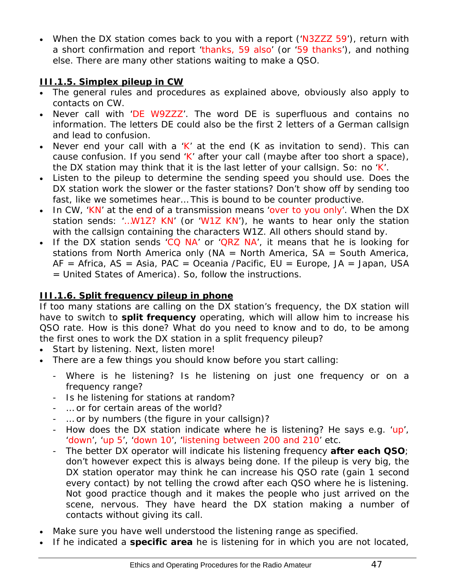<span id="page-46-0"></span>• When the DX station comes back to you with a report ('N3ZZZ 59'), return with a short confirmation and report 'thanks, 59 also' (or '59 thanks'), and nothing else. There are many other stations waiting to make a QSO.

# <span id="page-46-1"></span>**III.1.5. Simplex pileup in CW**

- The general rules and procedures as explained above, obviously also apply to contacts on CW.
- Never call with 'DE W9ZZZ'. The word *DE* is superfluous and contains no information. The letters *DE* could also be the first 2 letters of a German callsign and lead to confusion.
- Never end your call with a 'K' at the end  $(K$  as invitation to send). This can cause confusion. If you send 'K' after your call (maybe after too short a space), the DX station may think that it is the last letter of your callsign. So: no 'K'.
- Listen to the pileup to determine the sending speed you should use. Does the DX station work the slower or the faster stations? Don't show off by sending too fast, like we sometimes hear… This is bound to be counter productive.
- In CW, 'KN' at the end of a transmission means 'over to you only'. When the DX station sends: '…W1Z? KN' (or 'W1Z KN'), he wants to hear only the station with the callsign containing the characters *W1Z*. All others should stand by.
- If the DX station sends 'CQ NA' or 'QRZ NA', it means that he is looking for stations from North America only ( $NA = North America$ ,  $SA = South America$ ,  $AF = Africa, AS = Asia, PAC = Oceania / Pacific, EU = Europe, JA = Japan, USA$ = United States of America). So, follow the instructions.

# <span id="page-46-2"></span>**III.1.6. Split frequency pileup in phone**

If too many stations are calling on the DX station's frequency, the DX station will have to switch to **split frequency** operating, which will allow him to increase his QSO rate. How is this done? What do you need to know and to do, to be among the first ones to work the DX station in a split frequency pileup?

- Start by listening. Next, listen more!
- There are a few things you should know before you start calling:
	- Where is he listening? Is he listening on just one frequency or on a frequency range?
	- Is he listening for stations at random?
	- … or for certain areas of the world?
	- … or by numbers (the figure in your callsign)?
	- How does the DX station indicate where he is listening? He says e.g. 'up', 'down', 'up 5', 'down 10', 'listening between 200 and 210' etc.
	- The better DX operator will indicate his listening frequency **after each QSO**; don't however expect this is always being done. If the pileup is very big, the DX station operator may think he can increase his QSO rate (gain 1 second every contact) by *not* telling the crowd after each QSO where he is listening. Not good practice though and it makes the people who just arrived on the scene, nervous. They have heard the DX station making a number of contacts without giving its call.
- Make sure you have well understood the listening range as specified.
- If he indicated a **specific area** he is listening for in which you are not located,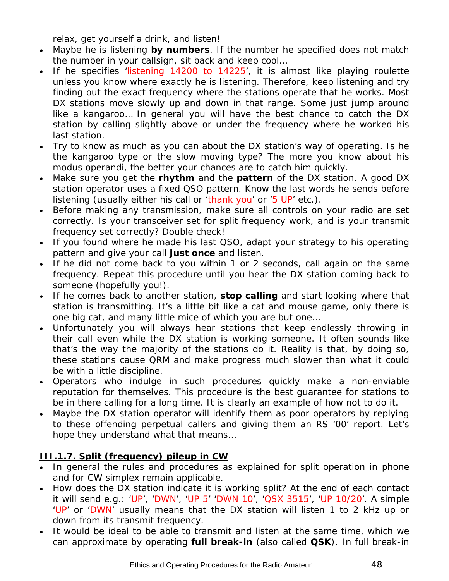relax, get yourself a drink, and listen!

- <span id="page-47-0"></span>• Maybe he is listening **by numbers**. If the number he specified does not match the number in your callsign, sit back and keep cool…
- If he specifies 'listening 14200 to 14225', it is almost like playing roulette unless you know where exactly he is listening. Therefore, keep listening and try finding out the exact frequency where the stations operate that he works. Most DX stations move slowly up and down in that range. Some just jump around like a kangaroo… In general you will have the best chance to catch the DX station by calling slightly above or under the frequency where he worked his last station.
- Try to know as much as you can about the DX station's way of operating. Is he the kangaroo type or the slow moving type? The more you know about his *modus operandi*, the better your chances are to catch him quickly.
- Make sure you get the **rhythm** and the **pattern** of the DX station. A good DX station operator uses a fixed QSO pattern. Know the last words he sends before listening (usually either his call or 'thank you' or '5 UP' etc.).
- Before making any transmission, make sure all controls on your radio are set correctly. Is your transceiver set for split frequency work, and is your transmit frequency set correctly? Double check!
- If you found where he made his last QSO, adapt your strategy to his operating pattern and give your call **just once** and listen.
- If he did not come back to you within 1 or 2 seconds, call again on the same frequency. Repeat this procedure until you hear the DX station coming back to someone (hopefully you!).
- If he comes back to another station, **stop calling** and start looking where that station is transmitting. It's a little bit like a cat and mouse game, only there is one big cat, and many little mice of which you are but one…
- Unfortunately you will always hear stations that keep endlessly throwing in their call even while the DX station is working someone. It often sounds like that's the way the majority of the stations do it. Reality is that, by doing so, these stations cause QRM and make progress much slower than what it could be with a little discipline.
- Operators who indulge in such procedures quickly make a non-enviable reputation for themselves. This procedure is the best guarantee for stations to be in there calling for a long time. It is clearly an example of how not to do it.
- Maybe the DX station operator will identify them as poor operators by replying to these offending perpetual callers and giving them an RS '00' report. Let's hope they understand what that means…

# <span id="page-47-1"></span>**III.1.7. Split (frequency) pileup in CW**

- In general the rules and procedures as explained for split operation in phone and for CW simplex remain applicable.
- How does the DX station indicate it is working split? At the end of each contact it will send e.g.: 'UP', 'DWN', 'UP 5' 'DWN 10', 'QSX 3515', 'UP 10/20'. A simple 'UP' or 'DWN' usually means that the DX station will listen 1 to 2 kHz up or down from its transmit frequency.
- It would be ideal to be able to transmit and listen at the same time, which we can approximate by operating **full break-in** (also called **QSK**). In full break-in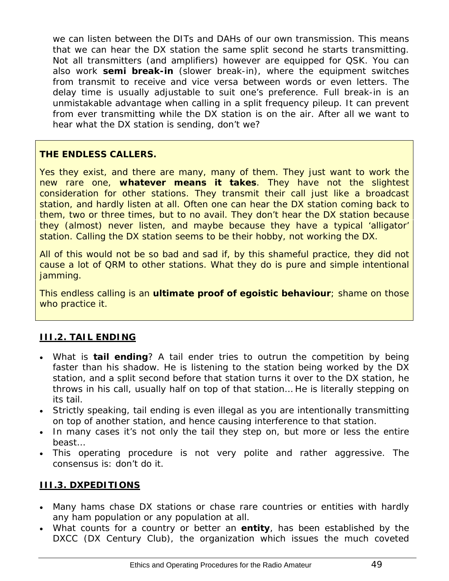<span id="page-48-0"></span>we can listen between the *DITs* and *DAHs* of our own transmission. This means that we can hear the DX station the same split second he starts transmitting. Not all transmitters (and amplifiers) however are equipped for QSK. You can also work **semi break-in** (*slower break-in*), where the equipment switches from transmit to receive and vice versa between words or even letters. The delay time is usually adjustable to suit one's preference. Full break-in is an unmistakable advantage when calling in a split frequency pileup. It can prevent from ever transmitting while the DX station is on the air. After all we want to hear what the DX station is sending, don't we?

#### **THE ENDLESS CALLERS.**

Yes they exist, and there are many, many of them. They just want to work the new rare one, **whatever means it takes**. They have not the slightest consideration for other stations. They transmit their call just like a broadcast station, and hardly listen at all. Often one can hear the DX station coming back to them, two or three times, but to no avail. They don't hear the DX station because they (almost) never listen, and maybe because they have a typical 'alligator' station. Calling the DX station seems to be their hobby, not working the DX.

All of this would not be so bad and sad if, by this shameful practice, they did not cause a lot of QRM to other stations. What they do is pure and simple intentional jamming.

This endless calling is an **ultimate proof of egoistic behaviour**; shame on those who practice it.

#### <span id="page-48-1"></span>**III.2. TAIL ENDING**

- What is **tail ending**? A tail ender tries to outrun the competition by being *faster than his shadow*. He is listening to the station being worked by the DX station, and a split second before that station turns it over to the DX station, he throws in his call, usually half on top of that station… He is literally *stepping on its tail.*
- Strictly speaking, tail ending is even illegal as you are intentionally transmitting on top of another station, and hence causing interference to that station.
- In many cases it's not only the tail they step on, but more or less the entire beast…
- This operating procedure is not very polite and rather aggressive. The consensus is: don't do it.

#### <span id="page-48-2"></span>**III.3. DXPEDITIONS**

- Many hams chase DX stations or chase *rare* countries or entities with hardly any ham population or any population at all.
- What counts for a *country* or better an *entity*, has been established by the DXCC (DX Century Club), the organization which issues the much coveted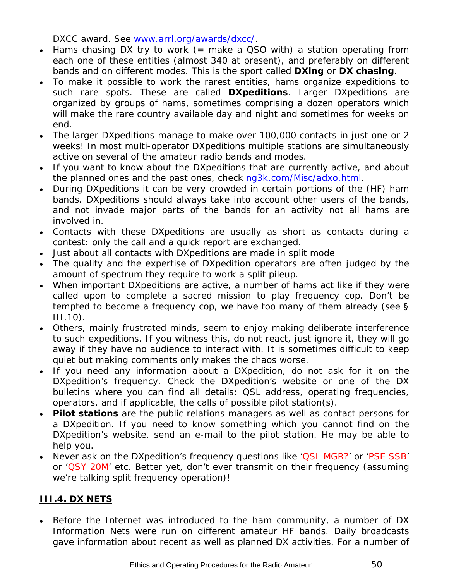DXCC award. See [www.arrl.org/awards/dxcc/.](http://www.arrl.org/awards/dxcc/)

- <span id="page-49-0"></span>• Hams chasing DX try to work (= make a QSO with) a station operating from each one of these entities (almost 340 at present), and preferably on different bands and on different modes. This is the sport called **DXing** or **DX chasing**.
- To make it possible to work the rarest entities, hams organize expeditions to such rare spots. These are called **DXpeditions**. Larger DXpeditions are organized by groups of hams, sometimes comprising a dozen operators which will make the rare country available day and night and sometimes for weeks on end.
- The larger DXpeditions manage to make over 100,000 contacts in just one or 2 weeks! In most multi-operator DXpeditions multiple stations are simultaneously active on several of the amateur radio bands and modes.
- If you want to know about the DXpeditions that are currently active, and about the planned ones and the past ones, check [ng3k.com/Misc/adxo.html.](http://ng3k.com/Misc/adxo.html)
- During DXpeditions it can be very crowded in certain portions of the (HF) ham bands. DXpeditions should always take into account other users of the bands, and not invade major parts of the bands for an activity not all hams are involved in.
- Contacts with these DXpeditions are usually as short as contacts during a contest: only the call and a quick report are exchanged.
- Just about all contacts with DXpeditions are made in split mode
- The quality and the expertise of DXpedition operators are often judged by the amount of spectrum they require to work a split pileup.
- When important DXpeditions are active, a number of hams act like if they were called upon to complete a sacred mission to play *frequency cop*. Don't be tempted to become a frequency cop, we have too many of them already (see § III.10).
- Others, mainly frustrated minds, seem to enjoy making deliberate interference to such expeditions. If you witness this, do not react, just ignore it, they will go away if they have no audience to interact with. It is sometimes difficult to keep quiet but making comments only makes the chaos worse.
- If you need any information about a DXpedition, do not ask for it on the DXpedition's frequency. Check the DXpedition's website or one of the *DX bulletins* where you can find all details: QSL address, operating frequencies, operators, and if applicable, the calls of possible *pilot station*(s).
- **Pilot stations** are the public relations managers as well as contact persons for a DXpedition. If you need to know something which you cannot find on the DXpedition's website, send an e-mail to the pilot station. He may be able to help you.
- Never ask on the DXpedition's frequency questions like 'QSL MGR?' or 'PSE SSB' or 'QSY 20M' etc. Better yet, don't ever transmit on their frequency (assuming we're talking split frequency operation)!

# <span id="page-49-1"></span>**III.4. DX NETS**

• Before the Internet was introduced to the ham community, a number of *DX Information Nets* were run on different amateur HF bands. Daily broadcasts gave information about recent as well as planned DX activities. For a number of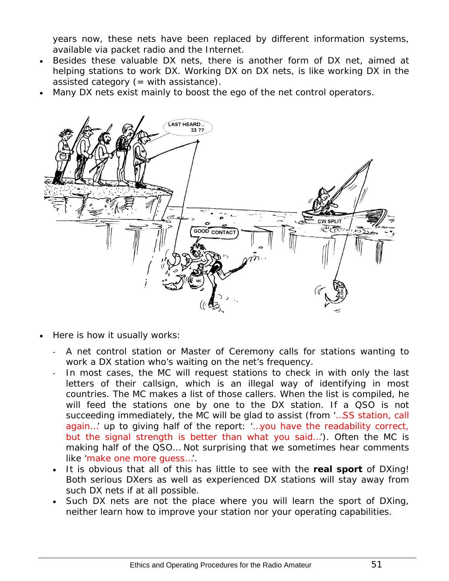years now, these nets have been replaced by different information systems, available via packet radio and the Internet.

- Besides these valuable DX nets, there is another form of DX net, aimed at *helping* stations to work DX. Working DX on DX nets, is like working DX in the *assisted category* (= with assistance).
- Many DX nets exist mainly to boost the ego of the net control operators.



- Here is how it usually works:
	- A net control station or *Master of Ceremony* calls for stations wanting to work a DX station who's waiting on the net's frequency.
	- In most cases, the MC will request stations to check in with only the last letters of their callsign, which is an illegal way of identifying in most countries. The MC makes a list of those callers. When the list is compiled, he will feed the stations one by one to the DX station. If a QSO is not succeeding immediately, the MC will be glad to assist (from '…SS station, call again…' up to giving half of the report: '…you have the readability correct, but the signal strength is better than what you said…'). Often the MC is making half of the QSO… Not surprising that we sometimes hear comments like 'make one more guess…'.
	- It is obvious that all of this has little to see with the **real sport** of DXing! Both serious DXers as well as experienced DX stations will stay away from such DX nets if at all possible.
	- Such DX nets are not the place where you will learn the sport of DXing, neither learn how to improve your station nor your operating capabilities.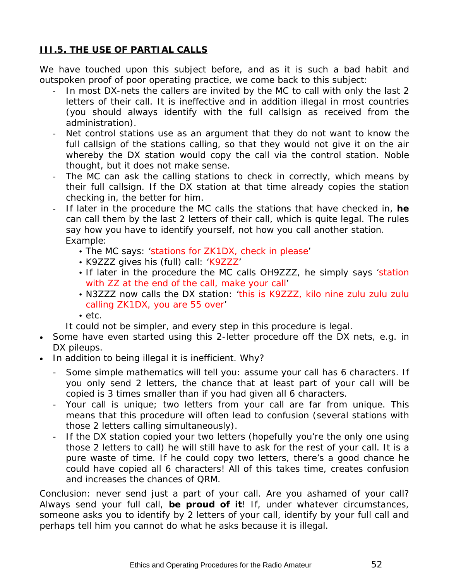# <span id="page-51-1"></span><span id="page-51-0"></span>**III.5. THE USE OF PARTIAL CALLS**

We have touched upon this subject before, and as it is such a bad habit and outspoken proof of poor operating practice, we come back to this subject:

- In most DX-nets the callers are invited by the *MC* to call with only the last 2 letters of their call. It is ineffective and in addition illegal in most countries (you should always identify with the full callsign as received from the administration).
- Net control stations use as an argument that they do not want to know the full callsign of the stations calling, so that they would not give it on the air whereby the DX station would copy the call via the control station. Noble thought, but it does not make sense.
- The *MC* can ask the calling stations to check in correctly, which means by their full callsign. If the DX station at that time already copies the station checking in, the better for him.
- If later in the procedure the *MC* calls the stations that have checked in, **he** can call them by the last 2 letters of their call, which is quite legal. The rules say how you have to identify yourself, not how you call another station. Example:
	- The MC says: 'stations for ZK1DX, check in please'
	- K9ZZZ gives his (full) call: 'K9ZZZ'
	- If later in the procedure the MC calls OH9ZZZ, he simply says 'station with ZZ at the end of the call, make your call'
	- N3ZZZ now calls the DX station: 'this is K9ZZZ, kilo nine zulu zulu zulu calling ZK1DX, you are 55 over'
	- etc.
	- It could not be simpler, and every step in this procedure is legal.
- Some have even started using this 2-letter procedure off the DX nets, e.g. in DX pileups.
- In addition to being illegal it is inefficient. Why?
	- Some simple mathematics will tell you: assume your call has 6 characters. If you only send 2 letters, the chance that at least part of your call will be copied is 3 times smaller than if you had given all 6 characters.
	- Your call is unique; two letters from your call are far from unique. This means that this procedure will often lead to confusion (several stations with those 2 letters calling simultaneously).
	- If the DX station copied your two letters (hopefully you're the only one using those 2 letters to call) he will still have to ask for the rest of your call. It is a pure waste of time. If he could copy two letters, there's a good chance he could have copied all 6 characters! All of this takes time, creates confusion and increases the chances of QRM.

Conclusion: never send just a part of your call. Are you ashamed of your call? Always send your full call, **be proud of it**! If, under whatever circumstances, someone asks you to identify by 2 letters of your call, identify by your full call and perhaps tell him you cannot do what he asks because it is illegal.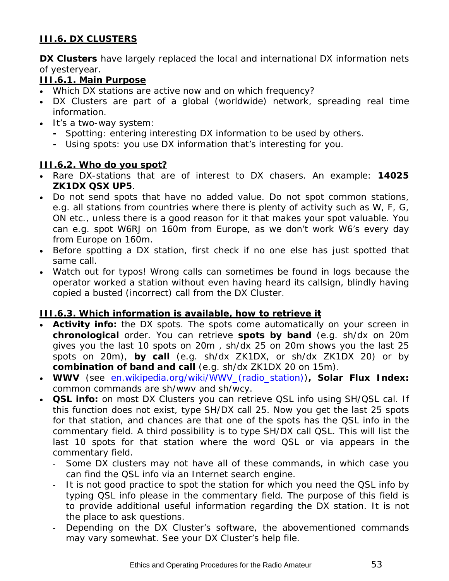# <span id="page-52-1"></span><span id="page-52-0"></span>**III.6. DX CLUSTERS**

**DX Clusters** have largely replaced the local and international *DX information nets* of yesteryear.

# <span id="page-52-2"></span>**III.6.1. Main Purpose**

- Which DX stations are active *now* and on *which frequency*?
- DX Clusters are part of a global (worldwide) network, spreading *real time* information.
- It's a two-way system:
	- Spotting: entering interesting DX information to be used by others.
	- Using spots: you use DX information that's interesting for you.

#### <span id="page-52-3"></span>**III.6.2. Who do you spot?**

- Rare DX-stations that are of interest to DX chasers. An example: *14025 ZK1DX QSX UP5.*
- Do not send spots that have no added value. Do not spot *common* stations, e.g. all stations from countries where there is plenty of activity such as W, F, G, ON etc., unless there is a good reason for it that makes your spot valuable. You can e.g. spot W6RJ on 160m from Europe, as we don't work W6's every day from Europe on 160m.
- Before spotting a DX station, first check if no one else has just spotted that same call.
- Watch out for typos! Wrong calls can sometimes be found in logs because the operator worked a station without even having heard its callsign, blindly having copied a busted (incorrect) call from the DX Cluster.

#### <span id="page-52-4"></span>**III.6.3. Which information is available, how to retrieve it**

- **Activity info:** the DX spots. The spots come automatically on your screen in **chronological** order. You can retrieve **spots by band** (e.g. *sh/dx on 20m* gives you the last 10 spots on 20m , *sh/dx 25 on 20m* shows you the last 25 spots on 20m), **by call** (e.g. *sh/dx ZK1DX*, or *sh/dx ZK1DX 20*) or by **combination of band and call** (e.g. *sh/dx ZK1DX 20 on 15m*).
- **WWV** (see [en.wikipedia.org/wiki/WWV\\_\(radio\\_station\)\)](http://en.wikipedia.org/wiki/WWV_(radio_station))**, Solar Flux Index:**  common commands are *sh/wwv* and *sh/wcy*.
- **QSL info:** on most DX Clusters you can retrieve QSL info using *SH/QSL cal*. If this function does not exist, type *SH/DX call 25*. Now you get the last 25 spots for that station, and chances are that one of the spots has the QSL info in the commentary field. A third possibility is to type *SH/DX call QSL*. This will list the last 10 spots for that station where the word *QSL* or *via* appears in the commentary field.
	- Some DX clusters may not have all of these commands, in which case you can find the QSL info via an Internet search engine.
	- It is not good practice to spot the station for which you need the QSL info by typing *QSL info please* in the commentary field. The purpose of this field is to provide additional useful information regarding the DX station. It is not the place to ask questions.
	- Depending on the DX Cluster's software, the abovementioned commands may vary somewhat. See your DX Cluster's help file.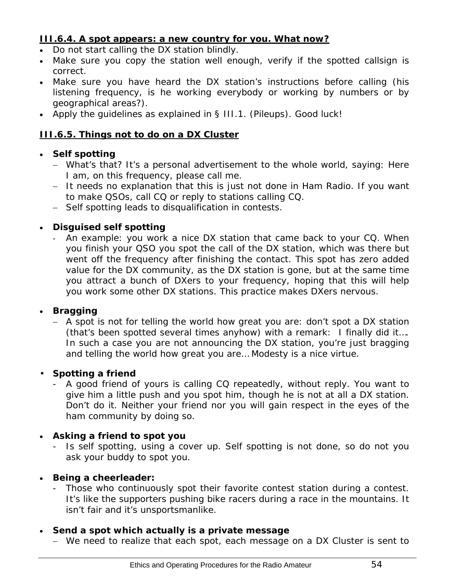### <span id="page-53-1"></span><span id="page-53-0"></span>**III.6.4. A spot appears: a new country for you. What now?**

- Do not start calling the DX station blindly.
- Make sure you copy the station well enough, verify if the spotted callsign is correct.
- Make sure you have heard the DX station's instructions before calling (his listening frequency, is he working *everybody* or working by numbers or by geographical areas?).
- Apply the quidelines as explained in § III.1. (Pileups). Good luck!

#### <span id="page-53-2"></span>**III.6.5. Things not to do on a DX Cluster**

# • **Self spotting**

- − What's that? It's a personal advertisement to the whole world, saying: *Here I am, on this frequency, please call me*.
- − It needs no explanation that this is just not done in Ham Radio. If you want to make QSOs, call CQ or reply to stations calling CQ.
- − Self spotting leads to disqualification in contests.

# • **Disguised self spotting**

An example: you work a nice DX station that came back to your CQ. When you finish your QSO you spot the call of the DX station, which was there but went off the frequency after finishing the contact. This spot has zero added value for the DX community, as the DX station is gone, but at the same time you attract a bunch of DXers to your frequency, hoping that this will help you work some other DX stations. This practice makes DXers nervous.

#### • **Bragging**

− A spot is not for telling the world how great you are: don't spot a DX station (that's been spotted several times anyhow) with a remark: *I finally did it…*. In such a case you are not announcing the DX station, you're just bragging and telling the world how great you are… Modesty is a nice virtue.

#### • **Spotting a friend**

A good friend of yours is calling CQ repeatedly, without reply. You want to give him a little push and you spot him, though he is not at all a DX station. Don't do it. Neither your friend nor you will gain respect in the eyes of the ham community by doing so.

#### • **Asking a friend to spot you**

- Is self spotting, using a cover up. Self spotting is not done, so do not you ask your buddy to spot you.

#### • **Being a cheerleader:**

- Those who continuously spot their favorite contest station during a contest. It's like the supporters pushing bike racers during a race in the mountains. It isn't fair and it's unsportsmanlike.

# • **Send a spot which actually is a private message**

− We need to realize that each spot, each message on a DX Cluster is sent to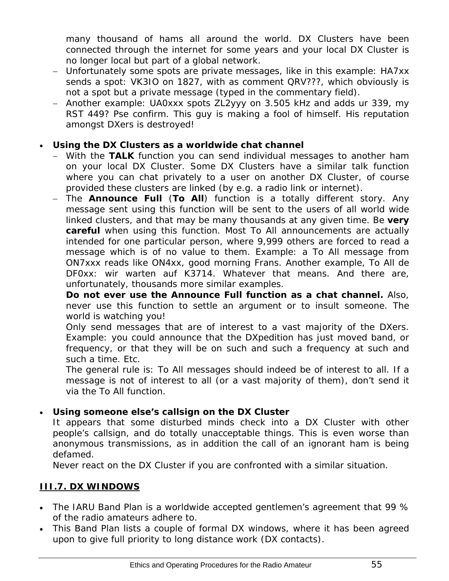<span id="page-54-0"></span>many thousand of hams all around the world. DX Clusters have been connected through the internet for some years and your local DX Cluster is no longer local but part of a global network.

- − Unfortunately some spots are private messages, like in this example: HA7xx sends a spot: *VK3IO on 1827*, with as comment *QRV???*, which obviously is not a spot but a private message (typed in the commentary field).
- − Another example: *UA0xxx spots ZL2yyy on 3.505 kHz* and adds *ur 339, my RST 449? Pse confirm*. This guy is making a fool of himself. His reputation amongst DXers is destroyed!

#### • **Using the DX Clusters as a worldwide chat channel**

- − With the **TALK** function you can send individual messages to another ham on your local DX Cluster. Some DX Clusters have a similar talk function where you can chat privately to a user on another DX Cluster, of course provided these clusters are linked (by e.g. a radio link or internet).
- − The **Announce Full** (**To All**) function is a totally different story. Any message sent using this function will be sent to the users of all world wide linked clusters, and that may be many thousands at any given time. Be **very careful** when using this function. Most *To All* announcements are actually intended for one particular person, where 9,999 others are forced to read a message which is of no value to them. Example: a To All message from ON7xxx reads like *ON4xx, good morning Frans*. Another example, To All de DF0xx: *wir warten auf K3714*. Whatever that means. And there are, unfortunately, thousands more similar examples.

 **Do not ever use the** *Announce Full* **function as a chat channel.** Also, never use this function to settle an argument or to insult someone. The world is watching you!

 Only send messages that are of interest to a vast majority of the DXers. Example: you could announce that the DXpedition has just moved band, or frequency, or that they will be on such and such a frequency at such and such a time. Etc.

The general rule is: *To All* messages should indeed be of interest *to all*. If a message is not of interest to all (or a vast majority of them), don't send it via the *To All* function.

#### • **Using someone else's callsign on the DX Cluster**

It appears that some disturbed minds check into a DX Cluster with other people's callsign, and do totally unacceptable things. This is even worse than anonymous transmissions, as in addition the call of an ignorant ham is being defamed.

Never react on the DX Cluster if you are confronted with a similar situation.

# <span id="page-54-1"></span>**III.7. DX WINDOWS**

- The IARU Band Plan is a worldwide accepted *gentlemen's agreement* that 99 % of the radio amateurs adhere to.
- This Band Plan lists a couple of formal DX windows, where it has been agreed upon to give full priority to long distance work (DX contacts).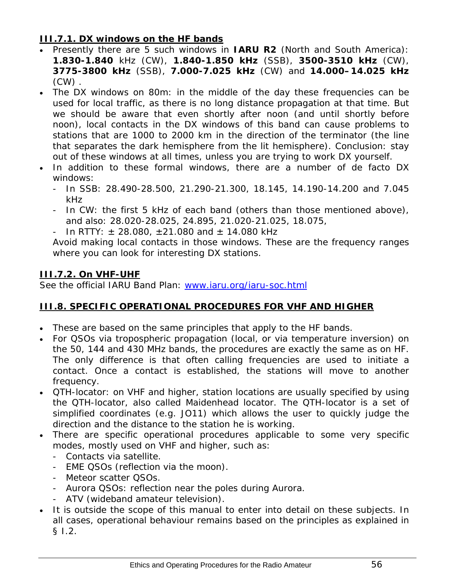### <span id="page-55-1"></span><span id="page-55-0"></span>**III.7.1. DX windows on the HF bands**

- Presently there are 5 such windows in **IARU R2** (North and South America): **1.830-1.840** kHz (CW), **1.840-1.850 kHz** (SSB), **3500-3510 kHz** (CW), **3775-3800 kHz** (SSB), **7.000-7.025 kHz** (CW) and **14.000–14.025 kHz**  $(CW)$ .
- The DX windows on 80m: in the middle of the day these frequencies can be used for *local* traffic, as there is no long distance propagation at that time. But we should be aware that even shortly after noon (and until shortly before noon), local contacts in the DX windows of this band can cause problems to stations that are 1000 to 2000 km in the direction of the *terminator* (the line that separates the dark hemisphere from the lit hemisphere). Conclusion: stay out of these windows at all times, unless you are trying to work DX yourself.
- In addition to these *formal* windows, there are a number of *de facto* DX windows:
	- In SSB: 28.490-28.500, 21.290-21.300, 18.145, 14.190-14.200 and 7.045 kHz
	- In CW: the first 5 kHz of each band (others than those mentioned above), and also: 28.020-28.025, 24.895, 21.020-21.025, 18.075,
	- In RTTY:  $\pm$  28.080,  $\pm$ 21.080 and  $\pm$  14.080 kHz

Avoid making local contacts in those windows. These are the frequency ranges where you can look for interesting DX stations.

# <span id="page-55-2"></span>**III.7.2. On VHF-UHF**

See the official IARU Band Plan: [www.iaru.org/iaru-soc.html](http://www.iaru.org/iaru-soc.html)

# <span id="page-55-3"></span>**III.8. SPECIFIC OPERATIONAL PROCEDURES FOR VHF AND HIGHER**

- These are based on the same principles that apply to the HF bands.
- For QSOs via tropospheric propagation (local, or via temperature inversion) on the 50, 144 and 430 MHz bands, the procedures are exactly the same as on HF. The only difference is that often calling frequencies are used to initiate a contact. Once a contact is established, the stations will move to another frequency.
- QTH-locator: on VHF and higher, station locations are usually specified by using the QTH-locator, also called Maidenhead locator. The QTH-locator is a set of simplified coordinates (e.g. JO11) which allows the user to quickly judge the direction and the distance to the station he is working.
- There are specific operational procedures applicable to some very specific modes, mostly used on VHF and higher, such as:
	- Contacts via satellite.
	- EME QSOs (reflection via the moon).
	- Meteor scatter QSOs.
	- Aurora QSOs: reflection near the poles during Aurora.
	- ATV (wideband amateur television).
- It is outside the scope of this manual to enter into detail on these subjects. In all cases, operational behaviour remains based on the principles as explained in § I.2.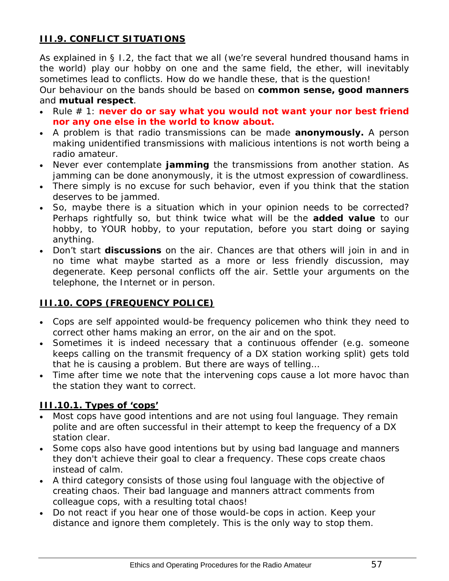# <span id="page-56-1"></span><span id="page-56-0"></span>**III.9. CONFLICT SITUATIONS**

As explained in § I.2, the fact that we all (we're several hundred thousand hams in the world) *play* our hobby on one and the same field, the ether, will inevitably sometimes lead to conflicts. How do we handle these, that is the question!

Our behaviour on the bands should be based on **common sense, good manners** and **mutual respect**.

- Rule # 1: **never do or say what you would not want your nor best friend nor any one else in the world to know about.**
- A problem is that radio transmissions can be made **anonymously.** A person making unidentified transmissions with malicious intentions is not worth being a radio amateur.
- Never ever contemplate **jamming** the transmissions from another station. As jamming can be done anonymously, it is the utmost expression of cowardliness.
- There simply is no excuse for such behavior, even if you think that the station deserves to be jammed.
- So, maybe there is a situation which in your opinion needs to be corrected? Perhaps rightfully so, but think twice what will be the **added value** to our hobby, to YOUR hobby, to your reputation, before you start doing or saying anything.
- Don't start **discussions** on the air. Chances are that others will join in and in no time what maybe started as a more or less friendly discussion, may degenerate. Keep personal conflicts off the air. Settle your arguments on the telephone, the Internet or in person.

# <span id="page-56-2"></span>**III.10. COPS (FREQUENCY POLICE)**

- Cops are self appointed would-be *frequency policemen* who think they need to correct other hams making an error, on the air and on the spot.
- Sometimes it is indeed necessary that a continuous *offender* (e.g. someone keeps calling on the transmit frequency of a DX station working split) gets told that he is causing a problem. But there are ways of telling…
- Time after time we note that the intervening cops cause a lot more havoc than the station they want to correct.

#### <span id="page-56-3"></span>**III.10.1. Types of 'cops'**

- Most *cops* have good intentions and are not using foul language. They remain polite and are often successful in their attempt to keep the frequency of a DX station clear.
- Some *cops* also have good intentions but by using bad language and manners they don't achieve their goal to clear a frequency. These *cops* create chaos instead of calm.
- A third category consists of those using foul language with the objective of creating chaos. Their bad language and manners attract comments from colleague *cops*, with a resulting total chaos!
- Do not react if you hear one of those would-be cops in action. Keep your distance and ignore them completely. This is the only way to stop them.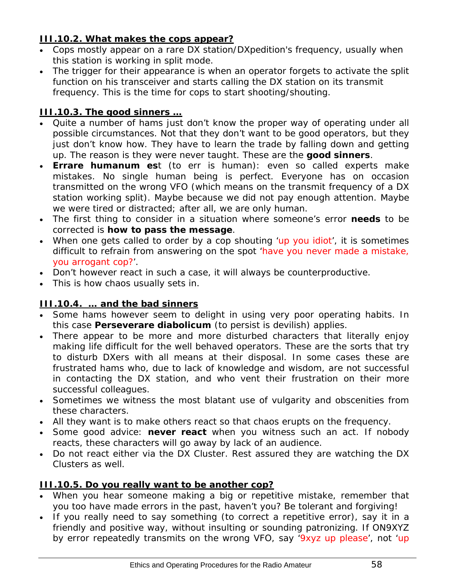# <span id="page-57-1"></span><span id="page-57-0"></span>**III.10.2. What makes the cops appear?**

- *Cops* mostly appear on a rare DX station/DXpedition's frequency, usually when this station is working in split mode.
- The trigger for their appearance is when an operator forgets to activate the split function on his transceiver and starts calling the DX station on its transmit frequency. This is the time for *cops* to start shooting/shouting.

# <span id="page-57-2"></span>**III.10.3. The good sinners …**

- Quite a number of hams just don't know the proper way of operating under all possible circumstances. Not that they don't want to be good operators, but they just don't know how. They have to learn the trade by falling down and getting up. The reason is they were never taught. These are the *good sinners*.
- *Errare humanum est* (*to err is human*): even so called experts make mistakes. No single human being is perfect. Everyone has on occasion transmitted on the wrong VFO (which means on the transmit frequency of a DX station working split). Maybe because we did not pay enough attention. Maybe we were tired or distracted; after all, we are only human.
- The first thing to consider in a situation where someone's error **needs** to be *corrected* is **how to pass the message**.
- When one gets called to order by a cop shouting 'up you idiot', it is sometimes difficult to refrain from answering on the spot 'have you never made a mistake, you arrogant cop?'.
- Don't however react in such a case, it will always be counterproductive.
- This is how chaos usually sets in.

#### <span id="page-57-3"></span>**III.10.4. … and the bad sinners**

- Some hams however seem to delight in using very poor operating habits. In this case *Perseverare diabolicum* (*to persist is devilish*) applies.
- There appear to be more and more *disturbed characters* that literally enjoy making life difficult for the well behaved operators. These are the sorts that try to disturb DXers with all means at their disposal. In some cases these are frustrated hams who, due to lack of knowledge and wisdom, are not successful in contacting the DX station, and who vent their frustration on their more successful colleagues.
- Sometimes we witness the most blatant use of vulgarity and obscenities from these characters.
- All they want is to make others react so that chaos erupts on the frequency.
- Some good advice: **never react** when you witness such an act. If nobody reacts, these characters will go away by lack of an audience.
- Do not react either via the DX Cluster. Rest assured they are watching the DX Clusters as well.

#### <span id="page-57-4"></span>**III.10.5. Do you really want to be another cop?**

- When you hear someone making a big or repetitive mistake, remember that you too have made errors in the past, haven't you? Be tolerant and forgiving!
- If you really need to say something (to correct a repetitive error), say it in a friendly and positive way, without insulting or sounding patronizing. If ON9XYZ by error repeatedly transmits on the wrong VFO, say '9xyz up please', not 'up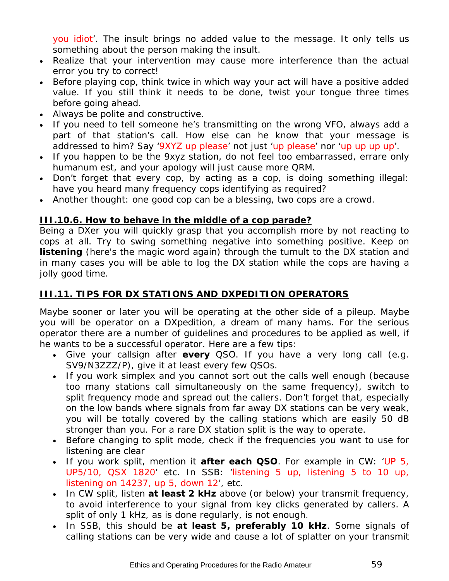<span id="page-58-0"></span>you idiot'. The insult brings no added value to the message. It only tells us something about the person making the insult.

- Realize that your intervention may cause more interference than the actual error you try to correct!
- Before playing cop, think twice in which way your act will have a positive added value. If you still think it needs to be done, twist your tongue three times before going ahead.
- Always be polite and constructive.
- If you need to tell someone he's transmitting on the wrong VFO, always add a part of that station's call. How else can he know that your message is addressed to him? Say '9XYZ up please' not just 'up please' nor 'up up up up'.
- If you happen to be the 9xyz station, do not feel too embarrassed, *errare* only *humanum est*, and your apology will just cause more QRM.
- Don't forget that every cop, by acting as a cop, is doing something illegal: have you heard many frequency cops identifying as required?
- Another thought: one good cop can be a blessing, two cops are a crowd.

#### <span id="page-58-1"></span>**III.10.6. How to behave in the middle of a cop parade?**

Being a DXer you will quickly grasp that you accomplish more by not reacting to cops at all. Try to swing something negative into something positive. Keep on **listening** (here's the magic word again) through the tumult to the DX station and in many cases you will be able to log the DX station while the cops are having a *jolly good time*.

#### <span id="page-58-2"></span>**III.11. TIPS FOR DX STATIONS AND DXPEDITION OPERATORS**

Maybe sooner or later you will be operating at the other side of a pileup. Maybe you will be operator on a DXpedition, a dream of many hams. For the serious operator there are a number of guidelines and procedures to be applied as well, if he wants to be a successful operator. Here are a few tips:

- Give your callsign after **every** QSO. If you have a very long call (e.g. SV9/N3ZZZ/P), give it at least every few QSOs.
- If you work simplex and you cannot sort out the calls well enough (because too many stations call simultaneously on the same frequency), switch to split frequency mode and spread out the callers. Don't forget that, especially on the low bands where signals from far away DX stations can be very weak, you will be totally covered by the calling stations which are easily 50 dB stronger than you. For a rare DX station *split* is the way to operate.
- Before changing to split mode, check if the frequencies you want to use for listening are clear
- If you work split, mention it **after each QSO**. For example in CW: 'UP 5, UP5/10, QSX 1820' etc. In SSB: 'listening 5 up, listening 5 to 10 up, listening on 14237, up 5, down 12', etc.
- In CW split, listen **at least 2 kHz** above (or below) your transmit frequency, to avoid interference to your signal from key clicks generated by callers. A split of only 1 kHz, as is done regularly, is not enough.
- In SSB, this should be **at least 5, preferably 10 kHz**. Some signals of calling stations can be very wide and cause a lot of splatter on your transmit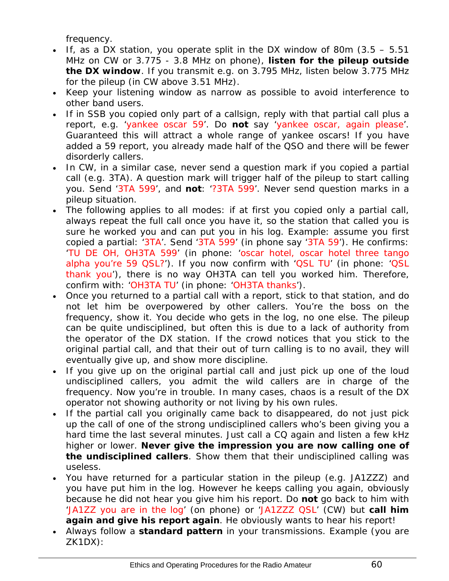frequency.

- If, as a DX station, you operate split in the DX window of 80m  $(3.5 5.51)$ MHz on CW or 3.775 - 3.8 MHz on phone), **listen for the pileup outside the DX window**. If you transmit e.g. on 3.795 MHz, listen below 3.775 MHz for the pileup (in CW above 3.51 MHz).
- Keep your listening window as narrow as possible to avoid interference to other band users.
- If in SSB you copied only part of a callsign, reply with that partial call plus a report, e.g. 'yankee oscar 59'. Do **not** say 'yankee oscar, again please'. Guaranteed this will attract a whole range of yankee oscars! If you have added a 59 report, you already made half of the QSO and there will be fewer disorderly callers.
- In CW, in a similar case, never send a question mark if you copied a partial call (e.g. 3TA). A question mark will trigger half of the pileup to start calling you. Send '3TA 599', and **not**: '?3TA 599'. Never send question marks in a pileup situation.
- The following applies to all modes: if at first you copied only a partial call, always repeat the full call once you have it, so the station that called you is sure he worked you and can put you in his log. Example: assume you first copied a partial: '3TA'. Send '3TA 599' (in phone say '3TA 59'). He confirms: 'TU DE OH, OH3TA 599' (in phone: 'oscar hotel, oscar hotel three tango alpha you're 59 QSL?'). If you now confirm with 'QSL TU' (in phone: 'QSL thank you'), there is no way OH3TA can tell you worked him. Therefore, confirm with: 'OH3TA TU' (in phone: 'OH3TA thanks').
- Once you returned to a partial call with a report, stick to that station, and do not let him be overpowered by other callers. You're the boss on the frequency, show it. You decide who gets in the log, no one else. The pileup can be quite undisciplined, but often this is due to a lack of authority from the operator of the DX station. If the crowd notices that you stick to the original partial call, and that their out of turn calling is to no avail, they will eventually give up, and show more discipline.
- If you give up on the original partial call and just pick up one of the loud undisciplined callers, you admit the wild callers are in charge of the frequency. Now you're in trouble. In many cases, chaos is a result of the DX operator not showing authority or not living by his own rules.
- If the partial call you originally came back to disappeared, do not just pick up the call of one of the strong undisciplined callers who's been giving you a hard time the last several minutes. Just call a CQ again and listen a few kHz higher or lower. **Never give the impression you are now calling one of the undisciplined callers**. Show them that their undisciplined calling was useless.
- You have returned for a particular station in the pileup (e.g. JA1ZZZ) and you have put him in the log. However he keeps calling you again, obviously because he did not hear you give him his report. Do **not** go back to him with 'JA1ZZ you are in the log' (on phone) or 'JA1ZZZ QSL' (CW) but **call him again and give his report again**. He obviously wants to hear his report!
- Always follow a **standard pattern** in your transmissions. Example (you are ZK1DX):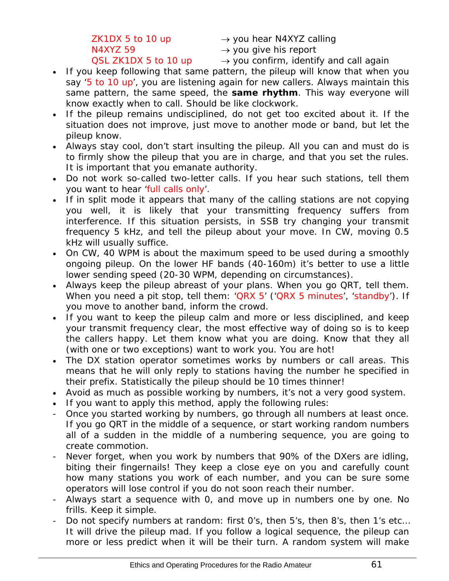ZK1DX 5 to 10 up  $\rightarrow$  you hear N4XYZ calling

 $N4XYZ$  59  $\rightarrow$  you give his report

QSL ZK1DX 5 to 10 up  $\rightarrow$  you confirm, identify and call again

- If you keep following that same pattern, the pileup will know that when you say '5 to 10 up', you are listening again for new callers. Always maintain this same pattern, the same speed, the **same rhythm**. This way everyone will know exactly when to call. Should be like clockwork.
- If the pileup remains undisciplined, do not get too excited about it. If the situation does not improve, just move to another mode or band, but let the pileup know.
- Always stay cool, don't start insulting the pileup. All you can and must do is to firmly show the pileup that you are in charge, and that you set the rules. It is important that you emanate authority.
- Do not work so-called two-letter calls. If you hear such stations, tell them you want to hear 'full calls only'.
- If in split mode it appears that many of the calling stations are not copying you well, it is likely that your transmitting frequency suffers from interference. If this situation persists, in SSB try changing your transmit frequency 5 kHz, and tell the pileup about your move. In CW, moving 0.5 kHz will usually suffice.
- On CW, 40 WPM is about the maximum speed to be used during a smoothly ongoing pileup. On the lower HF bands (40-160m) it's better to use a little lower sending speed (20-30 WPM, depending on circumstances).
- Always keep the pileup abreast of your plans. When you go QRT, tell them. When you need a pit stop, tell them: 'QRX 5' ('QRX 5 minutes', 'standby'). If you move to another band, inform the crowd.
- If you want to keep the pileup calm and more or less disciplined, and keep your transmit frequency clear, the most effective way of doing so is to keep the callers happy. Let them know what you are doing. Know that they all (with one or two exceptions) want to work you. You are hot!
- The DX station operator sometimes works by numbers or call areas. This means that he will only reply to stations having the number he specified in their prefix. Statistically the pileup should be 10 times thinner!
- Avoid as much as possible working by numbers, it's not a very good system.
- If you want to apply this method, apply the following rules:
- Once you started working by numbers, go through all numbers at least once. If you go QRT in the middle of a sequence, or start working random numbers all of a sudden in the middle of a numbering sequence, you are going to create commotion.
- Never forget, when you work by numbers that 90% of the DXers are idling, biting their fingernails! They keep a close eye on you and carefully count how many stations you work of each number, and you can be sure some operators will lose control if you do not soon reach *their* number.
- Always start a sequence with 0, and move up in numbers one by one. No frills. Keep it simple.
- Do not specify numbers at random: first 0's, then 5's, then 8's, then 1's etc... It will drive the pileup mad. If you follow a logical sequence, the pileup can more or less predict when it will be their turn. A random system will make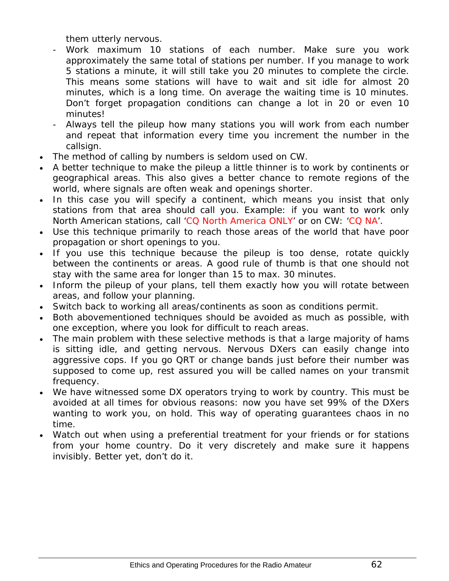them utterly nervous.

- Work maximum 10 stations of each number. Make sure you work approximately the same total of stations per number. If you manage to work 5 stations a minute, it will still take you 20 minutes to complete the circle. This means some stations will have to wait and sit idle for almost 20 minutes, which is a long time. On average the waiting time is 10 minutes. Don't forget propagation conditions can change a lot in 20 or even 10 minutes!
- Always tell the pileup how many stations you will work from each number and repeat that information every time you increment the number in the callsign.
- The method of calling by numbers is seldom used on CW.
- A better technique to make the pileup a little thinner is to work by continents or geographical areas. This also gives a better chance to remote regions of the world, where signals are often weak and openings shorter.
- In this case you will specify a continent, which means you insist that only stations from that area should call you. Example: if you want to work only North American stations, call 'CQ North America ONLY' or on CW: 'CQ NA'.
- Use this technique primarily to reach those areas of the world that have poor propagation or short openings to you.
- If you use this technique because the pileup is too dense, rotate quickly between the continents or areas. A good rule of thumb is that one should not stay with the same area for longer than 15 to max. 30 minutes.
- Inform the pileup of your plans, tell them exactly how you will rotate between areas, and follow your planning.
- Switch back to working all areas/continents as soon as conditions permit.
- Both abovementioned techniques should be avoided as much as possible, with one exception, where you look for difficult to reach areas.
- The main problem with these selective methods is that a large majority of hams is sitting idle, and getting nervous. Nervous DXers can easily change into aggressive cops. If you go QRT or change bands just before their number was supposed to come up, rest assured you will be called names on your transmit frequency.
- We have witnessed some DX operators trying to work by country. This must be avoided at all times for obvious reasons: now you have set 99% of the DXers wanting to work you, *on hold*. This way of operating guarantees chaos in no time.
- Watch out when using a preferential treatment for your friends or for stations from your home country. Do it very discretely and make sure it happens *invisibly.* Better yet, don't do it.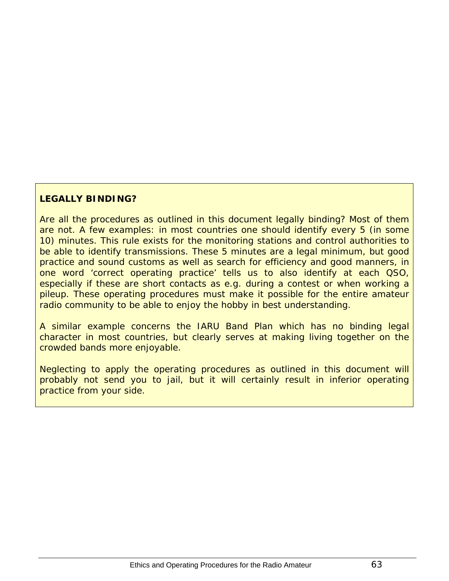#### **LEGALLY BINDING?**

Are all the procedures as outlined in this document legally binding? Most of them are not. A few examples: in most countries one should identify every 5 (in some 10) minutes. This rule exists for the monitoring stations and control authorities to be able to identify transmissions. These 5 minutes are a legal minimum, but good practice and sound customs as well as search for efficiency and good manners, in one word 'correct operating practice' tells us to also identify at each QSO, especially if these are short contacts as e.g. during a contest or when working a pileup. These operating procedures must make it possible for the entire amateur radio community to be able to enjoy the hobby in best understanding.

A similar example concerns the IARU Band Plan which has no binding legal character in most countries, but clearly serves at making living together on the crowded bands more enjoyable.

Neglecting to apply the operating procedures as outlined in this document will probably not send you to jail, but it will certainly result in inferior operating practice from your side.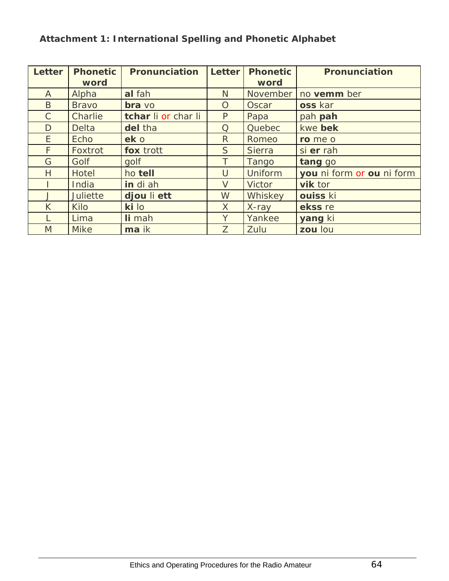<span id="page-63-1"></span><span id="page-63-0"></span>

| Letter       | <b>Phonetic</b> | <b>Pronunciation</b> | <b>Letter</b> | <b>Phonetic</b> | <b>Pronunciation</b>      |
|--------------|-----------------|----------------------|---------------|-----------------|---------------------------|
|              | word            |                      |               | word            |                           |
| $\mathsf{A}$ | Alpha           | al fah               | N             | November        | no vemm ber               |
| B.           | <b>Bravo</b>    | bra vo               | O             | Oscar           | oss kar                   |
| $\mathsf{C}$ | <b>Charlie</b>  | tchar li or char li  | $\mathsf{P}$  | Papa            | pah pah                   |
| D            | <b>Delta</b>    | del tha              | Q             | Quebec          | kwe bek                   |
| E.           | Echo            | ek o                 | $\mathsf{R}$  | Romeo           | ro me o                   |
| F.           | Foxtrot         | fox trott            | S             | <b>Sierra</b>   | si er rah                 |
| G            | Golf            | qolf                 |               | Tango           | tang go                   |
| H            | <b>Hotel</b>    | ho tell              | $\mathsf{U}$  | <b>Uniform</b>  | you ni form or ou ni form |
|              | India           | in di ah             | $\vee$        | <b>Victor</b>   | vik tor                   |
|              | <b>Juliette</b> | djou li ett          | W             | Whiskey         | ouiss ki                  |
| K            | <b>Kilo</b>     | ki lo                | $\times$      | X-ray           | ekss re                   |
|              | Lima            | li mah               | Y             | Yankee          | yang ki                   |
| M            | <b>Mike</b>     | ma ik                | Z             | Zulu            | zou lou                   |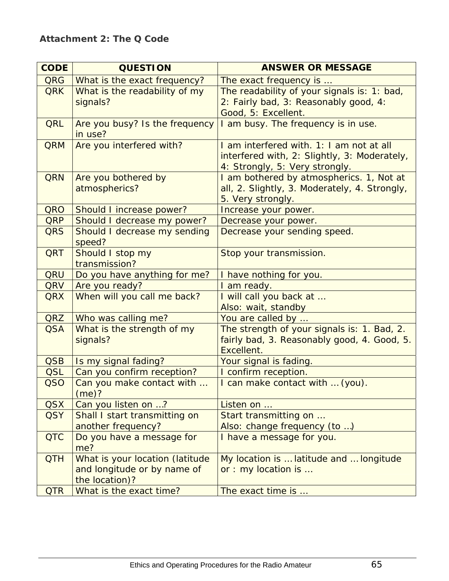| <b>CODE</b> | <b>QUESTION</b>                                                                  | <b>ANSWER OR MESSAGE</b>                                                                                                   |  |  |
|-------------|----------------------------------------------------------------------------------|----------------------------------------------------------------------------------------------------------------------------|--|--|
| <b>QRG</b>  | What is the exact frequency?                                                     | The exact frequency is                                                                                                     |  |  |
| <b>QRK</b>  | What is the readability of my<br>signals?                                        | The readability of your signals is: 1: bad,<br>2: Fairly bad, 3: Reasonably good, 4:<br>Good, 5: Excellent.                |  |  |
| <b>QRL</b>  | Are you busy? Is the frequency<br>in use?                                        | I am busy. The frequency is in use.                                                                                        |  |  |
| <b>QRM</b>  | Are you interfered with?                                                         | I am interfered with. 1: I am not at all<br>interfered with, 2: Slightly, 3: Moderately,<br>4: Strongly, 5: Very strongly. |  |  |
| <b>QRN</b>  | Are you bothered by<br>atmospherics?                                             | I am bothered by atmospherics. 1, Not at<br>all, 2. Slightly, 3. Moderately, 4. Strongly,<br>5. Very strongly.             |  |  |
| QRO         | Should I increase power?                                                         | Increase your power.                                                                                                       |  |  |
| <b>QRP</b>  | Should I decrease my power?                                                      | Decrease your power.                                                                                                       |  |  |
| <b>QRS</b>  | Should I decrease my sending<br>speed?                                           | Decrease your sending speed.                                                                                               |  |  |
| <b>QRT</b>  | Should I stop my<br>transmission?                                                | Stop your transmission.                                                                                                    |  |  |
| QRU         | Do you have anything for me?                                                     | I have nothing for you.                                                                                                    |  |  |
| QRV         | Are you ready?                                                                   | I am ready.                                                                                                                |  |  |
| <b>QRX</b>  | When will you call me back?                                                      | I will call you back at<br>Also: wait, standby                                                                             |  |  |
| QRZ         | Who was calling me?                                                              | You are called by                                                                                                          |  |  |
| <b>QSA</b>  | What is the strength of my<br>signals?                                           | The strength of your signals is: 1. Bad, 2.<br>fairly bad, 3. Reasonably good, 4. Good, 5.<br>Excellent.                   |  |  |
| <b>QSB</b>  | Is my signal fading?                                                             | Your signal is fading.                                                                                                     |  |  |
| <b>QSL</b>  | Can you confirm reception?                                                       | I confirm reception.                                                                                                       |  |  |
| <b>QSO</b>  | Can you make contact with<br>(me)?                                               | I can make contact with  (you).                                                                                            |  |  |
| <b>QSX</b>  | Can you listen on ?                                                              | Listen on                                                                                                                  |  |  |
| <b>QSY</b>  | Shall I start transmitting on                                                    | Start transmitting on                                                                                                      |  |  |
| <b>QTC</b>  | another frequency?<br>Do you have a message for<br>me?                           | Also: change frequency (to )<br>I have a message for you.                                                                  |  |  |
| <b>QTH</b>  | What is your location (latitude<br>and longitude or by name of<br>the location)? | My location is  latitude and  longitude<br>or : my location is                                                             |  |  |
| <b>QTR</b>  | What is the exact time?                                                          | The exact time is                                                                                                          |  |  |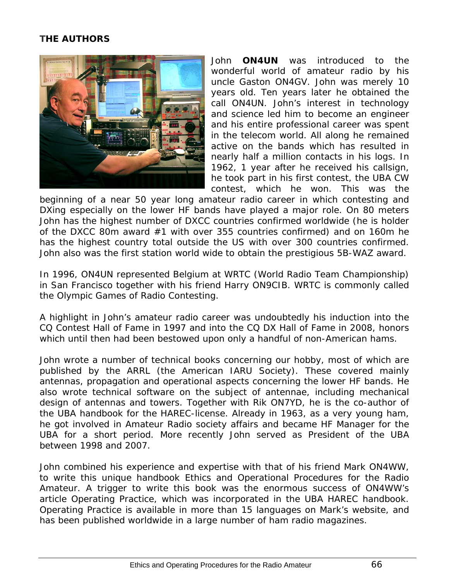#### <span id="page-65-0"></span>**THE AUTHORS**

<span id="page-65-1"></span>

John **ON4UN** was introduced to the wonderful world of amateur radio by his uncle Gaston ON4GV. John was merely 10 years old. Ten years later he obtained the call ON4UN. John's interest in technology and science led him to become an engineer and his entire professional career was spent in the telecom world. All along he remained active on the bands which has resulted in nearly half a million contacts in his logs. In 1962, 1 year after he received his callsign, he took part in his first contest, the UBA CW contest, which he won. This was the

beginning of a near 50 year long amateur radio career in which contesting and DXing especially on the lower HF bands have played a major role. On 80 meters John has the highest number of DXCC countries confirmed worldwide (he is holder of the DXCC 80m award #1 with over 355 countries confirmed) and on 160m he has the highest country total outside the US with over 300 countries confirmed. John also was the first station world wide to obtain the prestigious 5B-WAZ award.

In 1996, ON4UN represented Belgium at WRTC (World Radio Team Championship) in San Francisco together with his friend Harry ON9CIB. WRTC is commonly called *the Olympic Games of Radio Contesting*.

A highlight in John's amateur radio career was undoubtedly his induction into the *CQ Contest Hall of Fame* in 1997 and into the *CQ DX Hall of Fame* in 2008, honors which until then had been bestowed upon only a handful of non-American hams.

John wrote a number of technical books concerning our hobby, most of which are published by the ARRL (the American IARU Society). These covered mainly antennas, propagation and operational aspects concerning the lower HF bands. He also wrote technical software on the subject of antennae, including mechanical design of antennas and towers. Together with Rik ON7YD, he is the co-author of the UBA handbook for the HAREC-license. Already in 1963, as a very young ham, he got involved in Amateur Radio society affairs and became HF Manager for the UBA for a short period. More recently John served as President of the UBA between 1998 and 2007.

John combined his experience and expertise with that of his friend Mark ON4WW, to write this unique handbook *Ethics and Operational Procedures for the Radio Amateur*. A trigger to write this book was the enormous success of ON4WW's article *Operating Practice*, which was incorporated in the UBA HAREC handbook. *Operating Practice* is available in more than 15 languages on Mark's website, and has been published worldwide in a large number of ham radio magazines.